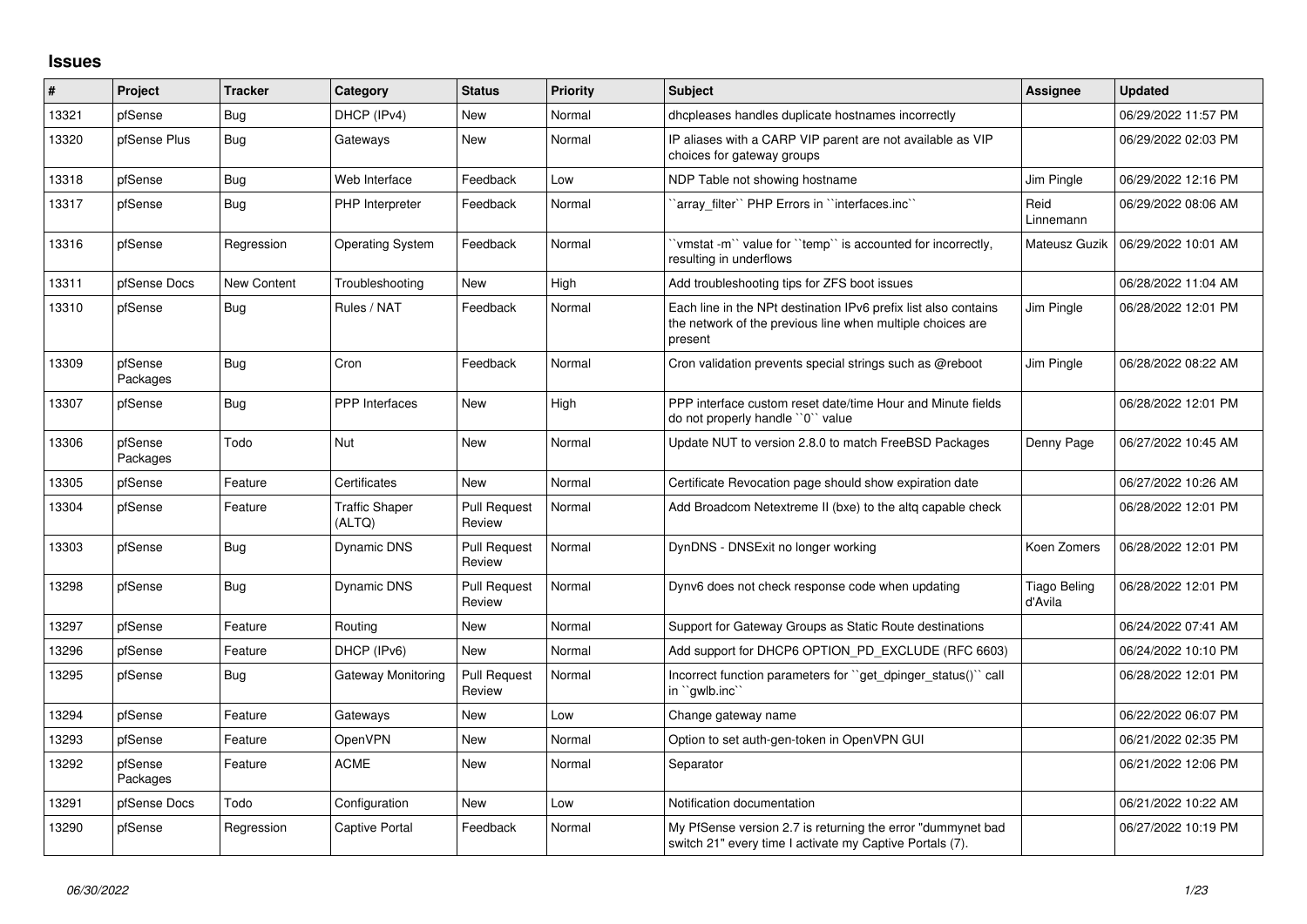## **Issues**

| #     | Project             | <b>Tracker</b>     | Category                        | <b>Status</b>                 | <b>Priority</b> | <b>Subject</b>                                                                                                                           | Assignee                | <b>Updated</b>      |
|-------|---------------------|--------------------|---------------------------------|-------------------------------|-----------------|------------------------------------------------------------------------------------------------------------------------------------------|-------------------------|---------------------|
| 13321 | pfSense             | <b>Bug</b>         | DHCP (IPv4)                     | <b>New</b>                    | Normal          | dhcpleases handles duplicate hostnames incorrectly                                                                                       |                         | 06/29/2022 11:57 PM |
| 13320 | pfSense Plus        | <b>Bug</b>         | Gateways                        | <b>New</b>                    | Normal          | IP aliases with a CARP VIP parent are not available as VIP<br>choices for gateway groups                                                 |                         | 06/29/2022 02:03 PM |
| 13318 | pfSense             | <b>Bug</b>         | Web Interface                   | Feedback                      | Low             | NDP Table not showing hostname                                                                                                           | Jim Pingle              | 06/29/2022 12:16 PM |
| 13317 | pfSense             | Bug                | PHP Interpreter                 | Feedback                      | Normal          | `array_filter`` PHP Errors in ``interfaces.inc``                                                                                         | Reid<br>Linnemann       | 06/29/2022 08:06 AM |
| 13316 | pfSense             | Regression         | <b>Operating System</b>         | Feedback                      | Normal          | 'vmstat -m'' value for ''temp'' is accounted for incorrectly,<br>resulting in underflows                                                 | Mateusz Guzik           | 06/29/2022 10:01 AM |
| 13311 | pfSense Docs        | <b>New Content</b> | Troubleshooting                 | <b>New</b>                    | High            | Add troubleshooting tips for ZFS boot issues                                                                                             |                         | 06/28/2022 11:04 AM |
| 13310 | pfSense             | Bug                | Rules / NAT                     | Feedback                      | Normal          | Each line in the NPt destination IPv6 prefix list also contains<br>the network of the previous line when multiple choices are<br>present | Jim Pingle              | 06/28/2022 12:01 PM |
| 13309 | pfSense<br>Packages | Bug                | Cron                            | Feedback                      | Normal          | Cron validation prevents special strings such as @reboot                                                                                 | Jim Pingle              | 06/28/2022 08:22 AM |
| 13307 | pfSense             | <b>Bug</b>         | <b>PPP</b> Interfaces           | New                           | High            | PPP interface custom reset date/time Hour and Minute fields<br>do not properly handle "0" value                                          |                         | 06/28/2022 12:01 PM |
| 13306 | pfSense<br>Packages | Todo               | Nut                             | New                           | Normal          | Update NUT to version 2.8.0 to match FreeBSD Packages                                                                                    | Denny Page              | 06/27/2022 10:45 AM |
| 13305 | pfSense             | Feature            | Certificates                    | <b>New</b>                    | Normal          | Certificate Revocation page should show expiration date                                                                                  |                         | 06/27/2022 10:26 AM |
| 13304 | pfSense             | Feature            | <b>Traffic Shaper</b><br>(ALTQ) | <b>Pull Request</b><br>Review | Normal          | Add Broadcom Netextreme II (bxe) to the altg capable check                                                                               |                         | 06/28/2022 12:01 PM |
| 13303 | pfSense             | Bug                | Dynamic DNS                     | <b>Pull Request</b><br>Review | Normal          | DynDNS - DNSExit no longer working                                                                                                       | Koen Zomers             | 06/28/2022 12:01 PM |
| 13298 | pfSense             | Bug                | <b>Dynamic DNS</b>              | <b>Pull Request</b><br>Review | Normal          | Dynv6 does not check response code when updating                                                                                         | Tiago Beling<br>d'Avila | 06/28/2022 12:01 PM |
| 13297 | pfSense             | Feature            | Routing                         | <b>New</b>                    | Normal          | Support for Gateway Groups as Static Route destinations                                                                                  |                         | 06/24/2022 07:41 AM |
| 13296 | pfSense             | Feature            | DHCP (IPv6)                     | <b>New</b>                    | Normal          | Add support for DHCP6 OPTION PD EXCLUDE (RFC 6603)                                                                                       |                         | 06/24/2022 10:10 PM |
| 13295 | pfSense             | <b>Bug</b>         | Gateway Monitoring              | <b>Pull Request</b><br>Review | Normal          | Incorrect function parameters for "get_dpinger_status()" call<br>in `gwlb.inc`                                                           |                         | 06/28/2022 12:01 PM |
| 13294 | pfSense             | Feature            | Gateways                        | <b>New</b>                    | Low             | Change gateway name                                                                                                                      |                         | 06/22/2022 06:07 PM |
| 13293 | pfSense             | Feature            | <b>OpenVPN</b>                  | New                           | Normal          | Option to set auth-gen-token in OpenVPN GUI                                                                                              |                         | 06/21/2022 02:35 PM |
| 13292 | pfSense<br>Packages | Feature            | <b>ACME</b>                     | <b>New</b>                    | Normal          | Separator                                                                                                                                |                         | 06/21/2022 12:06 PM |
| 13291 | pfSense Docs        | Todo               | Configuration                   | <b>New</b>                    | Low             | Notification documentation                                                                                                               |                         | 06/21/2022 10:22 AM |
| 13290 | pfSense             | Regression         | <b>Captive Portal</b>           | Feedback                      | Normal          | My PfSense version 2.7 is returning the error "dummynet bad<br>switch 21" every time I activate my Captive Portals (7).                  |                         | 06/27/2022 10:19 PM |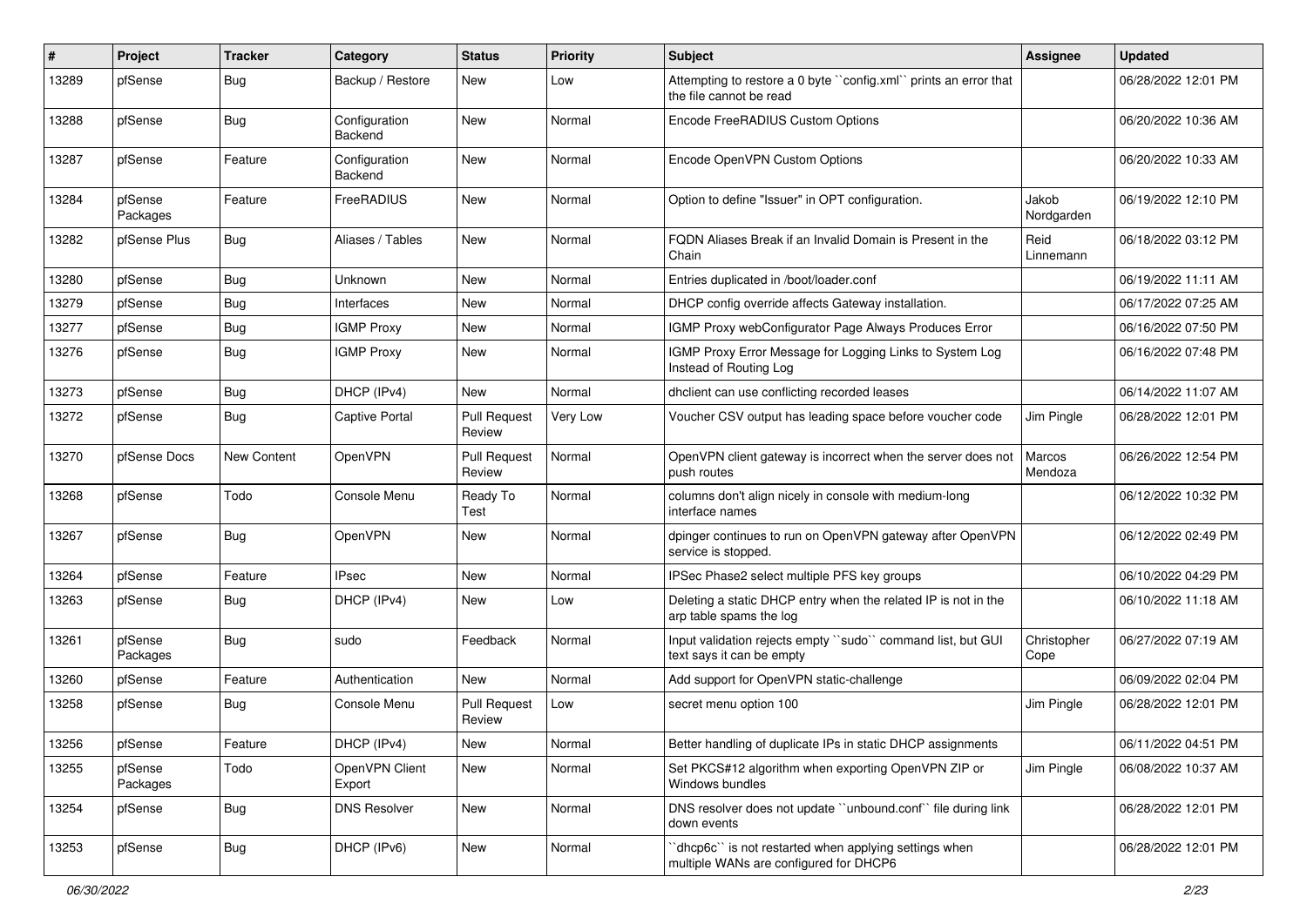| ∦     | Project             | <b>Tracker</b> | Category                 | <b>Status</b>                 | <b>Priority</b> | <b>Subject</b>                                                                                  | Assignee            | <b>Updated</b>      |
|-------|---------------------|----------------|--------------------------|-------------------------------|-----------------|-------------------------------------------------------------------------------------------------|---------------------|---------------------|
| 13289 | pfSense             | <b>Bug</b>     | Backup / Restore         | New                           | Low             | Attempting to restore a 0 byte "config.xml" prints an error that<br>the file cannot be read     |                     | 06/28/2022 12:01 PM |
| 13288 | pfSense             | <b>Bug</b>     | Configuration<br>Backend | New                           | Normal          | Encode FreeRADIUS Custom Options                                                                |                     | 06/20/2022 10:36 AM |
| 13287 | pfSense             | Feature        | Configuration<br>Backend | New                           | Normal          | Encode OpenVPN Custom Options                                                                   |                     | 06/20/2022 10:33 AM |
| 13284 | pfSense<br>Packages | Feature        | FreeRADIUS               | New                           | Normal          | Option to define "Issuer" in OPT configuration.                                                 | Jakob<br>Nordgarden | 06/19/2022 12:10 PM |
| 13282 | pfSense Plus        | Bug            | Aliases / Tables         | New                           | Normal          | FQDN Aliases Break if an Invalid Domain is Present in the<br>Chain                              | Reid<br>Linnemann   | 06/18/2022 03:12 PM |
| 13280 | pfSense             | <b>Bug</b>     | Unknown                  | New                           | Normal          | Entries duplicated in /boot/loader.conf                                                         |                     | 06/19/2022 11:11 AM |
| 13279 | pfSense             | <b>Bug</b>     | Interfaces               | New                           | Normal          | DHCP config override affects Gateway installation.                                              |                     | 06/17/2022 07:25 AM |
| 13277 | pfSense             | Bug            | <b>IGMP Proxy</b>        | New                           | Normal          | IGMP Proxy webConfigurator Page Always Produces Error                                           |                     | 06/16/2022 07:50 PM |
| 13276 | pfSense             | <b>Bug</b>     | <b>IGMP Proxy</b>        | New                           | Normal          | IGMP Proxy Error Message for Logging Links to System Log<br>Instead of Routing Log              |                     | 06/16/2022 07:48 PM |
| 13273 | pfSense             | Bug            | DHCP (IPv4)              | <b>New</b>                    | Normal          | dhclient can use conflicting recorded leases                                                    |                     | 06/14/2022 11:07 AM |
| 13272 | pfSense             | <b>Bug</b>     | <b>Captive Portal</b>    | <b>Pull Request</b><br>Review | Very Low        | Voucher CSV output has leading space before voucher code                                        | Jim Pingle          | 06/28/2022 12:01 PM |
| 13270 | pfSense Docs        | New Content    | <b>OpenVPN</b>           | <b>Pull Request</b><br>Review | Normal          | OpenVPN client gateway is incorrect when the server does not<br>push routes                     | Marcos<br>Mendoza   | 06/26/2022 12:54 PM |
| 13268 | pfSense             | Todo           | Console Menu             | Ready To<br>Test              | Normal          | columns don't align nicely in console with medium-long<br>interface names                       |                     | 06/12/2022 10:32 PM |
| 13267 | pfSense             | <b>Bug</b>     | OpenVPN                  | New                           | Normal          | dpinger continues to run on OpenVPN gateway after OpenVPN<br>service is stopped.                |                     | 06/12/2022 02:49 PM |
| 13264 | pfSense             | Feature        | <b>IPsec</b>             | New                           | Normal          | IPSec Phase2 select multiple PFS key groups                                                     |                     | 06/10/2022 04:29 PM |
| 13263 | pfSense             | <b>Bug</b>     | DHCP (IPv4)              | New                           | Low             | Deleting a static DHCP entry when the related IP is not in the<br>arp table spams the log       |                     | 06/10/2022 11:18 AM |
| 13261 | pfSense<br>Packages | <b>Bug</b>     | sudo                     | Feedback                      | Normal          | Input validation rejects empty "sudo" command list, but GUI<br>text says it can be empty        | Christopher<br>Cope | 06/27/2022 07:19 AM |
| 13260 | pfSense             | Feature        | Authentication           | <b>New</b>                    | Normal          | Add support for OpenVPN static-challenge                                                        |                     | 06/09/2022 02:04 PM |
| 13258 | pfSense             | <b>Bug</b>     | Console Menu             | <b>Pull Request</b><br>Review | Low             | secret menu option 100                                                                          | Jim Pingle          | 06/28/2022 12:01 PM |
| 13256 | pfSense             | Feature        | DHCP (IPv4)              | New                           | Normal          | Better handling of duplicate IPs in static DHCP assignments                                     |                     | 06/11/2022 04:51 PM |
| 13255 | pfSense<br>Packages | Todo           | OpenVPN Client<br>Export | New                           | Normal          | Set PKCS#12 algorithm when exporting OpenVPN ZIP or<br>Windows bundles                          | Jim Pingle          | 06/08/2022 10:37 AM |
| 13254 | pfSense             | <b>Bug</b>     | <b>DNS Resolver</b>      | New                           | Normal          | DNS resolver does not update "unbound.conf" file during link<br>down events                     |                     | 06/28/2022 12:01 PM |
| 13253 | pfSense             | <b>Bug</b>     | DHCP (IPv6)              | New                           | Normal          | 'dhcp6c' is not restarted when applying settings when<br>multiple WANs are configured for DHCP6 |                     | 06/28/2022 12:01 PM |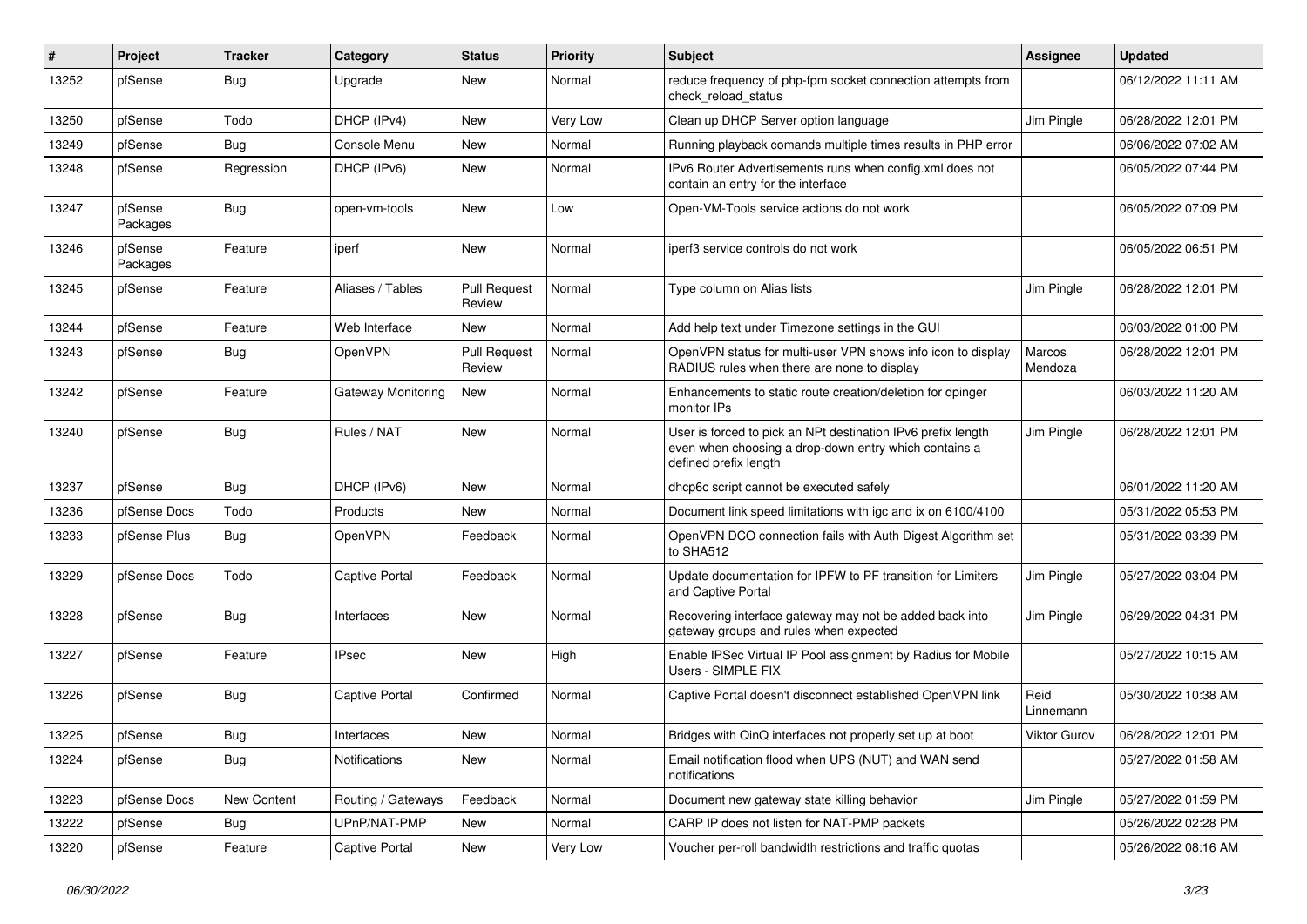| #     | Project             | <b>Tracker</b> | Category              | <b>Status</b>                 | <b>Priority</b> | Subject                                                                                                                                        | <b>Assignee</b>   | <b>Updated</b>      |
|-------|---------------------|----------------|-----------------------|-------------------------------|-----------------|------------------------------------------------------------------------------------------------------------------------------------------------|-------------------|---------------------|
| 13252 | pfSense             | Bug            | Upgrade               | New                           | Normal          | reduce frequency of php-fpm socket connection attempts from<br>check reload status                                                             |                   | 06/12/2022 11:11 AM |
| 13250 | pfSense             | Todo           | DHCP (IPv4)           | New                           | Very Low        | Clean up DHCP Server option language                                                                                                           | Jim Pingle        | 06/28/2022 12:01 PM |
| 13249 | pfSense             | <b>Bug</b>     | Console Menu          | New                           | Normal          | Running playback comands multiple times results in PHP error                                                                                   |                   | 06/06/2022 07:02 AM |
| 13248 | pfSense             | Regression     | DHCP (IPv6)           | New                           | Normal          | IPv6 Router Advertisements runs when config.xml does not<br>contain an entry for the interface                                                 |                   | 06/05/2022 07:44 PM |
| 13247 | pfSense<br>Packages | Bug            | open-vm-tools         | New                           | Low             | Open-VM-Tools service actions do not work                                                                                                      |                   | 06/05/2022 07:09 PM |
| 13246 | pfSense<br>Packages | Feature        | iperf                 | New                           | Normal          | iperf3 service controls do not work                                                                                                            |                   | 06/05/2022 06:51 PM |
| 13245 | pfSense             | Feature        | Aliases / Tables      | <b>Pull Request</b><br>Review | Normal          | Type column on Alias lists                                                                                                                     | Jim Pingle        | 06/28/2022 12:01 PM |
| 13244 | pfSense             | Feature        | Web Interface         | New                           | Normal          | Add help text under Timezone settings in the GUI                                                                                               |                   | 06/03/2022 01:00 PM |
| 13243 | pfSense             | Bug            | OpenVPN               | <b>Pull Request</b><br>Review | Normal          | OpenVPN status for multi-user VPN shows info icon to display<br>RADIUS rules when there are none to display                                    | Marcos<br>Mendoza | 06/28/2022 12:01 PM |
| 13242 | pfSense             | Feature        | Gateway Monitoring    | New                           | Normal          | Enhancements to static route creation/deletion for dpinger<br>monitor IPs                                                                      |                   | 06/03/2022 11:20 AM |
| 13240 | pfSense             | Bug            | Rules / NAT           | New                           | Normal          | User is forced to pick an NPt destination IPv6 prefix length<br>even when choosing a drop-down entry which contains a<br>defined prefix length | Jim Pingle        | 06/28/2022 12:01 PM |
| 13237 | pfSense             | <b>Bug</b>     | DHCP (IPv6)           | New                           | Normal          | dhcp6c script cannot be executed safely                                                                                                        |                   | 06/01/2022 11:20 AM |
| 13236 | pfSense Docs        | Todo           | Products              | New                           | Normal          | Document link speed limitations with igc and ix on 6100/4100                                                                                   |                   | 05/31/2022 05:53 PM |
| 13233 | pfSense Plus        | Bug            | OpenVPN               | Feedback                      | Normal          | OpenVPN DCO connection fails with Auth Digest Algorithm set<br>to SHA512                                                                       |                   | 05/31/2022 03:39 PM |
| 13229 | pfSense Docs        | Todo           | <b>Captive Portal</b> | Feedback                      | Normal          | Update documentation for IPFW to PF transition for Limiters<br>and Captive Portal                                                              | Jim Pingle        | 05/27/2022 03:04 PM |
| 13228 | pfSense             | <b>Bug</b>     | Interfaces            | New                           | Normal          | Recovering interface gateway may not be added back into<br>gateway groups and rules when expected                                              | Jim Pingle        | 06/29/2022 04:31 PM |
| 13227 | pfSense             | Feature        | <b>IPsec</b>          | New                           | High            | Enable IPSec Virtual IP Pool assignment by Radius for Mobile<br>Users - SIMPLE FIX                                                             |                   | 05/27/2022 10:15 AM |
| 13226 | pfSense             | Bug            | <b>Captive Portal</b> | Confirmed                     | Normal          | Captive Portal doesn't disconnect established OpenVPN link                                                                                     | Reid<br>Linnemann | 05/30/2022 10:38 AM |
| 13225 | pfSense             | Bug            | Interfaces            | New                           | Normal          | Bridges with QinQ interfaces not properly set up at boot                                                                                       | Viktor Gurov      | 06/28/2022 12:01 PM |
| 13224 | pfSense             | <b>Bug</b>     | Notifications         | New                           | Normal          | Email notification flood when UPS (NUT) and WAN send<br>notifications                                                                          |                   | 05/27/2022 01:58 AM |
| 13223 | pfSense Docs        | New Content    | Routing / Gateways    | Feedback                      | Normal          | Document new gateway state killing behavior                                                                                                    | Jim Pingle        | 05/27/2022 01:59 PM |
| 13222 | pfSense             | Bug            | UPnP/NAT-PMP          | New                           | Normal          | CARP IP does not listen for NAT-PMP packets                                                                                                    |                   | 05/26/2022 02:28 PM |
| 13220 | pfSense             | Feature        | <b>Captive Portal</b> | New                           | Very Low        | Voucher per-roll bandwidth restrictions and traffic quotas                                                                                     |                   | 05/26/2022 08:16 AM |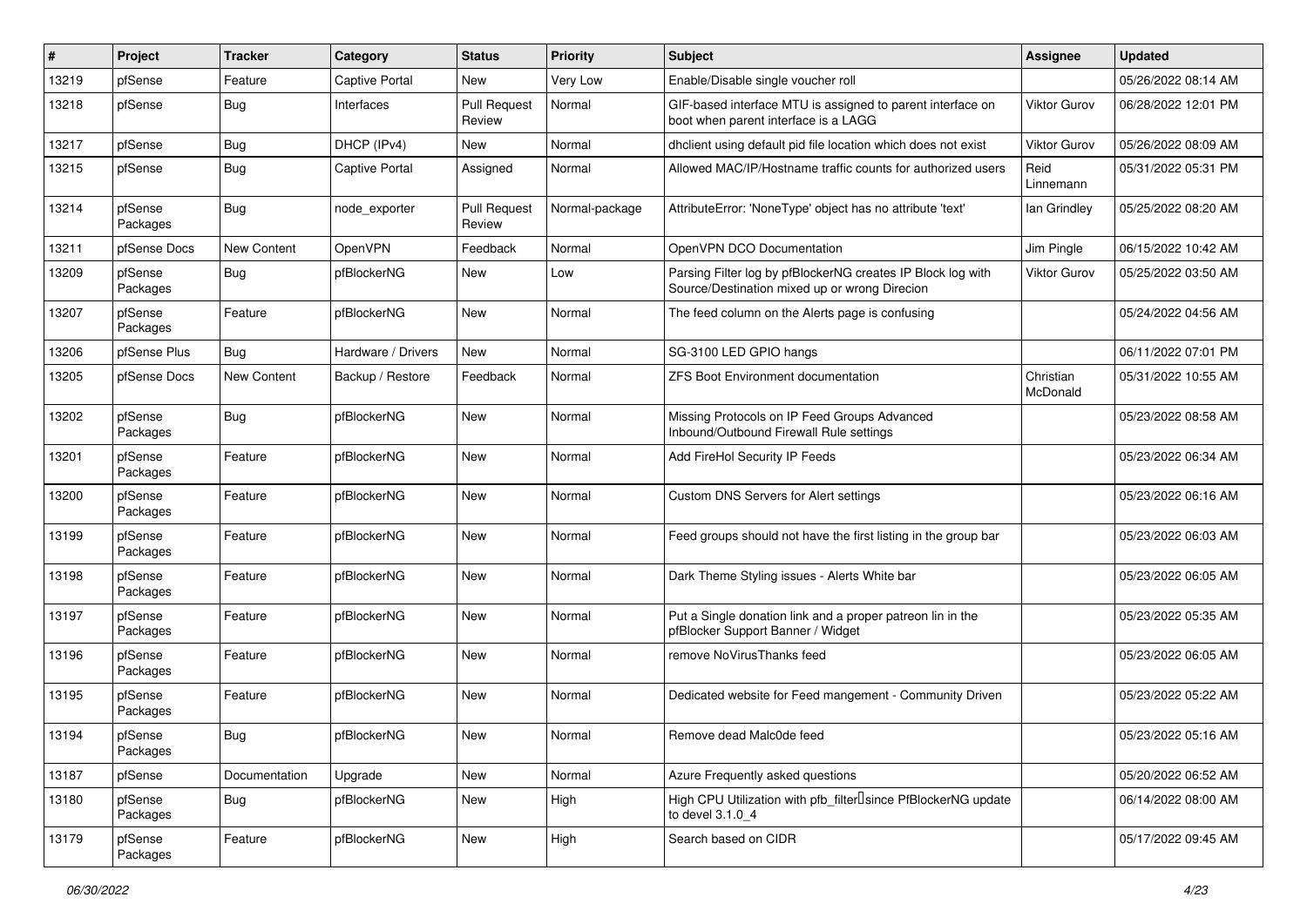| #     | Project             | <b>Tracker</b>     | Category              | <b>Status</b>                 | <b>Priority</b> | Subject                                                                                                      | <b>Assignee</b>       | <b>Updated</b>      |
|-------|---------------------|--------------------|-----------------------|-------------------------------|-----------------|--------------------------------------------------------------------------------------------------------------|-----------------------|---------------------|
| 13219 | pfSense             | Feature            | Captive Portal        | New                           | Very Low        | Enable/Disable single voucher roll                                                                           |                       | 05/26/2022 08:14 AM |
| 13218 | pfSense             | Bug                | Interfaces            | <b>Pull Request</b><br>Review | Normal          | GIF-based interface MTU is assigned to parent interface on<br>boot when parent interface is a LAGG           | <b>Viktor Gurov</b>   | 06/28/2022 12:01 PM |
| 13217 | pfSense             | <b>Bug</b>         | DHCP (IPv4)           | New                           | Normal          | dhclient using default pid file location which does not exist                                                | <b>Viktor Gurov</b>   | 05/26/2022 08:09 AM |
| 13215 | pfSense             | <b>Bug</b>         | <b>Captive Portal</b> | Assigned                      | Normal          | Allowed MAC/IP/Hostname traffic counts for authorized users                                                  | Reid<br>Linnemann     | 05/31/2022 05:31 PM |
| 13214 | pfSense<br>Packages | <b>Bug</b>         | node exporter         | <b>Pull Request</b><br>Review | Normal-package  | AttributeError: 'NoneType' object has no attribute 'text'                                                    | lan Grindley          | 05/25/2022 08:20 AM |
| 13211 | pfSense Docs        | <b>New Content</b> | OpenVPN               | Feedback                      | Normal          | OpenVPN DCO Documentation                                                                                    | Jim Pingle            | 06/15/2022 10:42 AM |
| 13209 | pfSense<br>Packages | <b>Bug</b>         | pfBlockerNG           | New                           | Low             | Parsing Filter log by pfBlockerNG creates IP Block log with<br>Source/Destination mixed up or wrong Direcion | Viktor Gurov          | 05/25/2022 03:50 AM |
| 13207 | pfSense<br>Packages | Feature            | pfBlockerNG           | New                           | Normal          | The feed column on the Alerts page is confusing                                                              |                       | 05/24/2022 04:56 AM |
| 13206 | pfSense Plus        | Bug                | Hardware / Drivers    | New                           | Normal          | SG-3100 LED GPIO hangs                                                                                       |                       | 06/11/2022 07:01 PM |
| 13205 | pfSense Docs        | New Content        | Backup / Restore      | Feedback                      | Normal          | <b>ZFS Boot Environment documentation</b>                                                                    | Christian<br>McDonald | 05/31/2022 10:55 AM |
| 13202 | pfSense<br>Packages | Bug                | pfBlockerNG           | <b>New</b>                    | Normal          | Missing Protocols on IP Feed Groups Advanced<br>Inbound/Outbound Firewall Rule settings                      |                       | 05/23/2022 08:58 AM |
| 13201 | pfSense<br>Packages | Feature            | pfBlockerNG           | <b>New</b>                    | Normal          | Add FireHol Security IP Feeds                                                                                |                       | 05/23/2022 06:34 AM |
| 13200 | pfSense<br>Packages | Feature            | pfBlockerNG           | <b>New</b>                    | Normal          | <b>Custom DNS Servers for Alert settings</b>                                                                 |                       | 05/23/2022 06:16 AM |
| 13199 | pfSense<br>Packages | Feature            | pfBlockerNG           | New                           | Normal          | Feed groups should not have the first listing in the group bar                                               |                       | 05/23/2022 06:03 AM |
| 13198 | pfSense<br>Packages | Feature            | pfBlockerNG           | New                           | Normal          | Dark Theme Styling issues - Alerts White bar                                                                 |                       | 05/23/2022 06:05 AM |
| 13197 | pfSense<br>Packages | Feature            | pfBlockerNG           | <b>New</b>                    | Normal          | Put a Single donation link and a proper patreon lin in the<br>pfBlocker Support Banner / Widget              |                       | 05/23/2022 05:35 AM |
| 13196 | pfSense<br>Packages | Feature            | pfBlockerNG           | <b>New</b>                    | Normal          | remove NoVirusThanks feed                                                                                    |                       | 05/23/2022 06:05 AM |
| 13195 | pfSense<br>Packages | Feature            | pfBlockerNG           | New                           | Normal          | Dedicated website for Feed mangement - Community Driven                                                      |                       | 05/23/2022 05:22 AM |
| 13194 | pfSense<br>Packages | <b>Bug</b>         | pfBlockerNG           | New                           | Normal          | Remove dead Malc0de feed                                                                                     |                       | 05/23/2022 05:16 AM |
| 13187 | pfSense             | Documentation      | Upgrade               | New                           | Normal          | Azure Frequently asked questions                                                                             |                       | 05/20/2022 06:52 AM |
| 13180 | pfSense<br>Packages | Bug                | pfBlockerNG           | New                           | High            | High CPU Utilization with pfb_filter <sup>[]</sup> since PfBlockerNG update<br>to devel 3.1.0 4              |                       | 06/14/2022 08:00 AM |
| 13179 | pfSense<br>Packages | Feature            | pfBlockerNG           | New                           | High            | Search based on CIDR                                                                                         |                       | 05/17/2022 09:45 AM |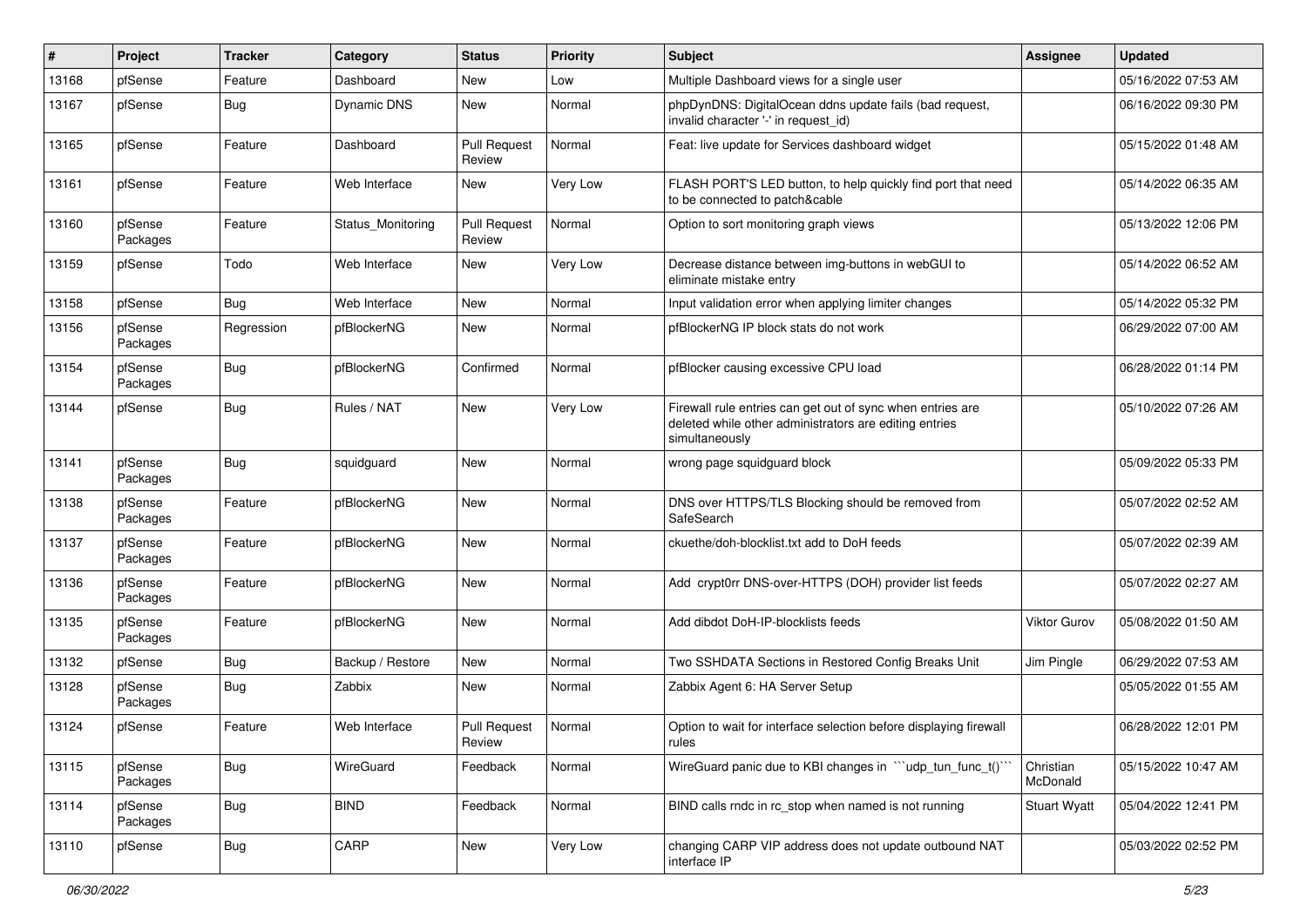| $\vert$ # | Project             | <b>Tracker</b> | Category           | <b>Status</b>                 | <b>Priority</b> | <b>Subject</b>                                                                                                                         | <b>Assignee</b>       | <b>Updated</b>      |
|-----------|---------------------|----------------|--------------------|-------------------------------|-----------------|----------------------------------------------------------------------------------------------------------------------------------------|-----------------------|---------------------|
| 13168     | pfSense             | Feature        | Dashboard          | New                           | Low             | Multiple Dashboard views for a single user                                                                                             |                       | 05/16/2022 07:53 AM |
| 13167     | pfSense             | Bug            | <b>Dynamic DNS</b> | <b>New</b>                    | Normal          | phpDynDNS: DigitalOcean ddns update fails (bad request,<br>invalid character '-' in request id)                                        |                       | 06/16/2022 09:30 PM |
| 13165     | pfSense             | Feature        | Dashboard          | <b>Pull Request</b><br>Review | Normal          | Feat: live update for Services dashboard widget                                                                                        |                       | 05/15/2022 01:48 AM |
| 13161     | pfSense             | Feature        | Web Interface      | New                           | Very Low        | FLASH PORT'S LED button, to help quickly find port that need<br>to be connected to patch&cable                                         |                       | 05/14/2022 06:35 AM |
| 13160     | pfSense<br>Packages | Feature        | Status Monitoring  | <b>Pull Request</b><br>Review | Normal          | Option to sort monitoring graph views                                                                                                  |                       | 05/13/2022 12:06 PM |
| 13159     | pfSense             | Todo           | Web Interface      | New                           | Very Low        | Decrease distance between img-buttons in webGUI to<br>eliminate mistake entry                                                          |                       | 05/14/2022 06:52 AM |
| 13158     | pfSense             | <b>Bug</b>     | Web Interface      | New                           | Normal          | Input validation error when applying limiter changes                                                                                   |                       | 05/14/2022 05:32 PM |
| 13156     | pfSense<br>Packages | Regression     | pfBlockerNG        | <b>New</b>                    | Normal          | pfBlockerNG IP block stats do not work                                                                                                 |                       | 06/29/2022 07:00 AM |
| 13154     | pfSense<br>Packages | <b>Bug</b>     | pfBlockerNG        | Confirmed                     | Normal          | pfBlocker causing excessive CPU load                                                                                                   |                       | 06/28/2022 01:14 PM |
| 13144     | pfSense             | Bug            | Rules / NAT        | New                           | Very Low        | Firewall rule entries can get out of sync when entries are<br>deleted while other administrators are editing entries<br>simultaneously |                       | 05/10/2022 07:26 AM |
| 13141     | pfSense<br>Packages | Bug            | squidguard         | New                           | Normal          | wrong page squidguard block                                                                                                            |                       | 05/09/2022 05:33 PM |
| 13138     | pfSense<br>Packages | Feature        | pfBlockerNG        | <b>New</b>                    | Normal          | DNS over HTTPS/TLS Blocking should be removed from<br>SafeSearch                                                                       |                       | 05/07/2022 02:52 AM |
| 13137     | pfSense<br>Packages | Feature        | pfBlockerNG        | <b>New</b>                    | Normal          | ckuethe/doh-blocklist.txt add to DoH feeds                                                                                             |                       | 05/07/2022 02:39 AM |
| 13136     | pfSense<br>Packages | Feature        | pfBlockerNG        | New                           | Normal          | Add crypt0rr DNS-over-HTTPS (DOH) provider list feeds                                                                                  |                       | 05/07/2022 02:27 AM |
| 13135     | pfSense<br>Packages | Feature        | pfBlockerNG        | New                           | Normal          | Add dibdot DoH-IP-blocklists feeds                                                                                                     | <b>Viktor Gurov</b>   | 05/08/2022 01:50 AM |
| 13132     | pfSense             | <b>Bug</b>     | Backup / Restore   | <b>New</b>                    | Normal          | Two SSHDATA Sections in Restored Config Breaks Unit                                                                                    | Jim Pingle            | 06/29/2022 07:53 AM |
| 13128     | pfSense<br>Packages | Bug            | Zabbix             | New                           | Normal          | Zabbix Agent 6: HA Server Setup                                                                                                        |                       | 05/05/2022 01:55 AM |
| 13124     | pfSense             | Feature        | Web Interface      | <b>Pull Request</b><br>Review | Normal          | Option to wait for interface selection before displaying firewall<br>rules                                                             |                       | 06/28/2022 12:01 PM |
| 13115     | pfSense<br>Packages | <b>Bug</b>     | WireGuard          | Feedback                      | Normal          | WireGuard panic due to KBI changes in "'udp_tun_func_t()'                                                                              | Christian<br>McDonald | 05/15/2022 10:47 AM |
| 13114     | pfSense<br>Packages | <b>Bug</b>     | <b>BIND</b>        | Feedback                      | Normal          | BIND calls rndc in rc_stop when named is not running                                                                                   | <b>Stuart Wyatt</b>   | 05/04/2022 12:41 PM |
| 13110     | pfSense             | <b>Bug</b>     | CARP               | New                           | Very Low        | changing CARP VIP address does not update outbound NAT<br>interface IP                                                                 |                       | 05/03/2022 02:52 PM |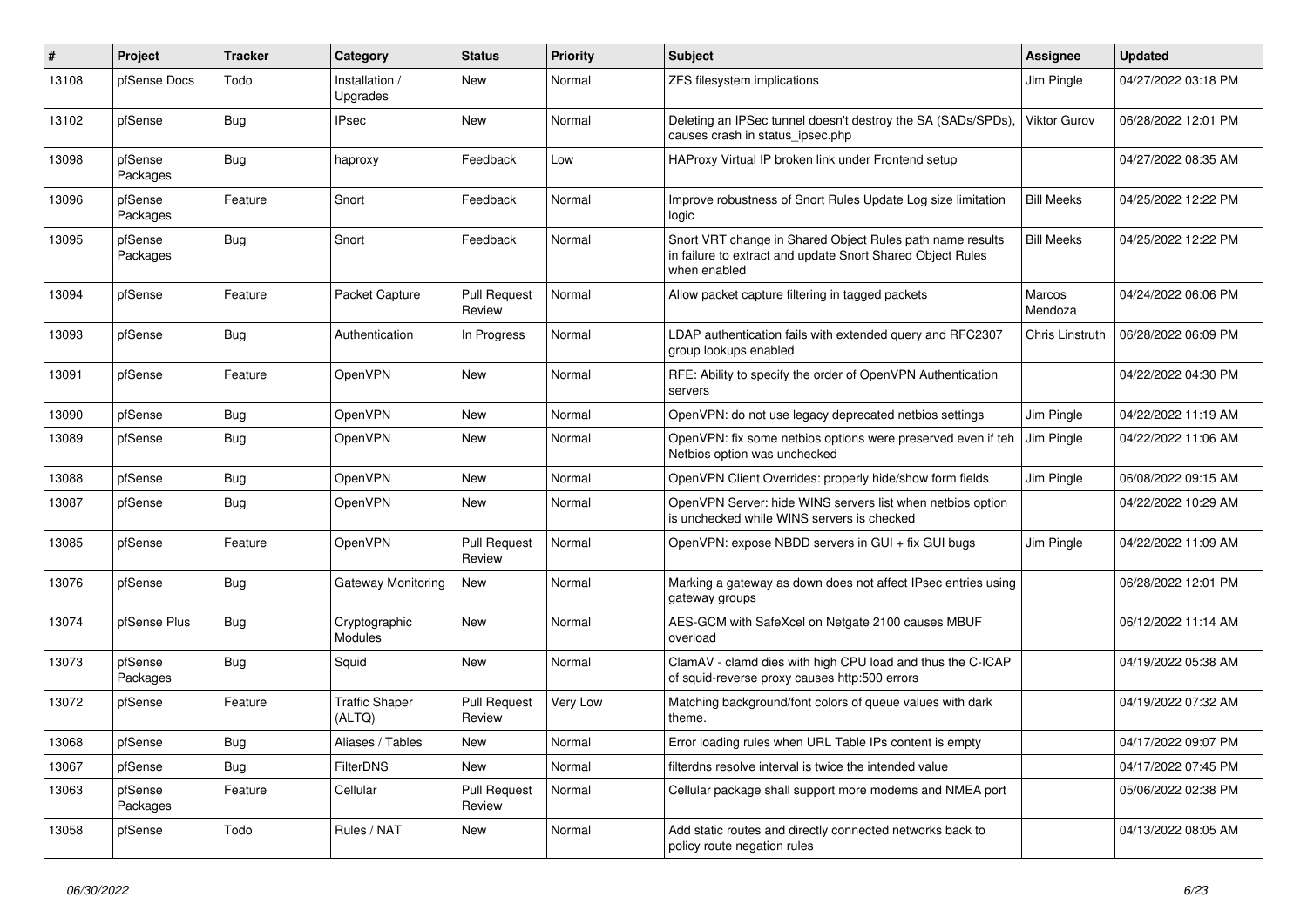| $\vert$ # | <b>Project</b>      | <b>Tracker</b> | Category                        | <b>Status</b>                 | Priority | <b>Subject</b>                                                                                                                          | <b>Assignee</b>     | <b>Updated</b>      |
|-----------|---------------------|----------------|---------------------------------|-------------------------------|----------|-----------------------------------------------------------------------------------------------------------------------------------------|---------------------|---------------------|
| 13108     | pfSense Docs        | Todo           | Installation /<br>Upgrades      | <b>New</b>                    | Normal   | ZFS filesystem implications                                                                                                             | Jim Pingle          | 04/27/2022 03:18 PM |
| 13102     | pfSense             | Bug            | <b>IPsec</b>                    | <b>New</b>                    | Normal   | Deleting an IPSec tunnel doesn't destroy the SA (SADs/SPDs),<br>causes crash in status ipsec.php                                        | <b>Viktor Gurov</b> | 06/28/2022 12:01 PM |
| 13098     | pfSense<br>Packages | Bug            | haproxy                         | Feedback                      | Low      | HAProxy Virtual IP broken link under Frontend setup                                                                                     |                     | 04/27/2022 08:35 AM |
| 13096     | pfSense<br>Packages | Feature        | Snort                           | Feedback                      | Normal   | Improve robustness of Snort Rules Update Log size limitation<br>logic                                                                   | <b>Bill Meeks</b>   | 04/25/2022 12:22 PM |
| 13095     | pfSense<br>Packages | <b>Bug</b>     | Snort                           | Feedback                      | Normal   | Snort VRT change in Shared Object Rules path name results<br>in failure to extract and update Snort Shared Object Rules<br>when enabled | <b>Bill Meeks</b>   | 04/25/2022 12:22 PM |
| 13094     | pfSense             | Feature        | Packet Capture                  | <b>Pull Request</b><br>Review | Normal   | Allow packet capture filtering in tagged packets                                                                                        | Marcos<br>Mendoza   | 04/24/2022 06:06 PM |
| 13093     | pfSense             | Bug            | Authentication                  | In Progress                   | Normal   | LDAP authentication fails with extended query and RFC2307<br>group lookups enabled                                                      | Chris Linstruth     | 06/28/2022 06:09 PM |
| 13091     | pfSense             | Feature        | OpenVPN                         | New                           | Normal   | RFE: Ability to specify the order of OpenVPN Authentication<br>servers                                                                  |                     | 04/22/2022 04:30 PM |
| 13090     | pfSense             | <b>Bug</b>     | OpenVPN                         | <b>New</b>                    | Normal   | OpenVPN: do not use legacy deprecated netbios settings                                                                                  | Jim Pingle          | 04/22/2022 11:19 AM |
| 13089     | pfSense             | Bug            | OpenVPN                         | <b>New</b>                    | Normal   | OpenVPN: fix some netbios options were preserved even if teh<br>Netbios option was unchecked                                            | Jim Pingle          | 04/22/2022 11:06 AM |
| 13088     | pfSense             | <b>Bug</b>     | OpenVPN                         | New                           | Normal   | OpenVPN Client Overrides: properly hide/show form fields                                                                                | Jim Pingle          | 06/08/2022 09:15 AM |
| 13087     | pfSense             | <b>Bug</b>     | <b>OpenVPN</b>                  | New                           | Normal   | OpenVPN Server: hide WINS servers list when netbios option<br>is unchecked while WINS servers is checked                                |                     | 04/22/2022 10:29 AM |
| 13085     | pfSense             | Feature        | OpenVPN                         | <b>Pull Request</b><br>Review | Normal   | OpenVPN: expose NBDD servers in GUI + fix GUI bugs                                                                                      | Jim Pingle          | 04/22/2022 11:09 AM |
| 13076     | pfSense             | <b>Bug</b>     | Gateway Monitoring              | <b>New</b>                    | Normal   | Marking a gateway as down does not affect IPsec entries using<br>gateway groups                                                         |                     | 06/28/2022 12:01 PM |
| 13074     | pfSense Plus        | <b>Bug</b>     | Cryptographic<br>Modules        | New                           | Normal   | AES-GCM with SafeXcel on Netgate 2100 causes MBUF<br>overload                                                                           |                     | 06/12/2022 11:14 AM |
| 13073     | pfSense<br>Packages | Bug            | Squid                           | <b>New</b>                    | Normal   | ClamAV - clamd dies with high CPU load and thus the C-ICAP<br>of squid-reverse proxy causes http:500 errors                             |                     | 04/19/2022 05:38 AM |
| 13072     | pfSense             | Feature        | <b>Traffic Shaper</b><br>(ALTQ) | <b>Pull Request</b><br>Review | Very Low | Matching background/font colors of queue values with dark<br>theme.                                                                     |                     | 04/19/2022 07:32 AM |
| 13068     | pfSense             | <b>Bug</b>     | Aliases / Tables                | <b>New</b>                    | Normal   | Error loading rules when URL Table IPs content is empty                                                                                 |                     | 04/17/2022 09:07 PM |
| 13067     | pfSense             | Bug            | <b>FilterDNS</b>                | New                           | Normal   | filterdns resolve interval is twice the intended value                                                                                  |                     | 04/17/2022 07:45 PM |
| 13063     | pfSense<br>Packages | Feature        | Cellular                        | <b>Pull Request</b><br>Review | Normal   | Cellular package shall support more modems and NMEA port                                                                                |                     | 05/06/2022 02:38 PM |
| 13058     | pfSense             | Todo           | Rules / NAT                     | <b>New</b>                    | Normal   | Add static routes and directly connected networks back to<br>policy route negation rules                                                |                     | 04/13/2022 08:05 AM |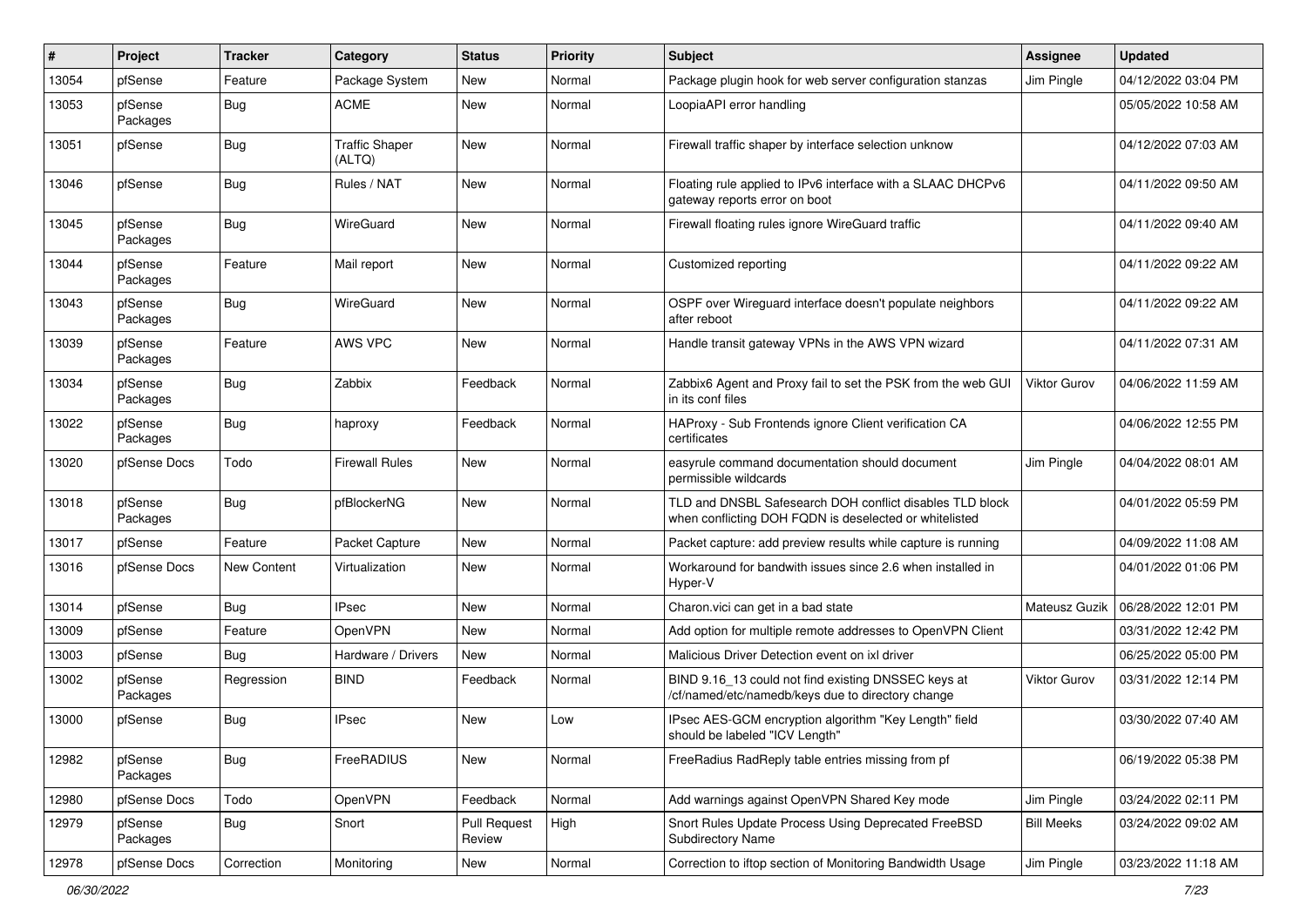| #     | Project             | <b>Tracker</b> | Category                        | <b>Status</b>                 | <b>Priority</b> | Subject                                                                                                            | Assignee          | <b>Updated</b>      |
|-------|---------------------|----------------|---------------------------------|-------------------------------|-----------------|--------------------------------------------------------------------------------------------------------------------|-------------------|---------------------|
| 13054 | pfSense             | Feature        | Package System                  | New                           | Normal          | Package plugin hook for web server configuration stanzas                                                           | Jim Pingle        | 04/12/2022 03:04 PM |
| 13053 | pfSense<br>Packages | <b>Bug</b>     | <b>ACME</b>                     | New                           | Normal          | LoopiaAPI error handling                                                                                           |                   | 05/05/2022 10:58 AM |
| 13051 | pfSense             | <b>Bug</b>     | <b>Traffic Shaper</b><br>(ALTQ) | New                           | Normal          | Firewall traffic shaper by interface selection unknow                                                              |                   | 04/12/2022 07:03 AM |
| 13046 | pfSense             | Bug            | Rules / NAT                     | New                           | Normal          | Floating rule applied to IPv6 interface with a SLAAC DHCPv6<br>gateway reports error on boot                       |                   | 04/11/2022 09:50 AM |
| 13045 | pfSense<br>Packages | Bug            | WireGuard                       | New                           | Normal          | Firewall floating rules ignore WireGuard traffic                                                                   |                   | 04/11/2022 09:40 AM |
| 13044 | pfSense<br>Packages | Feature        | Mail report                     | New                           | Normal          | Customized reporting                                                                                               |                   | 04/11/2022 09:22 AM |
| 13043 | pfSense<br>Packages | <b>Bug</b>     | WireGuard                       | New                           | Normal          | OSPF over Wireguard interface doesn't populate neighbors<br>after reboot                                           |                   | 04/11/2022 09:22 AM |
| 13039 | pfSense<br>Packages | Feature        | AWS VPC                         | New                           | Normal          | Handle transit gateway VPNs in the AWS VPN wizard                                                                  |                   | 04/11/2022 07:31 AM |
| 13034 | pfSense<br>Packages | <b>Bug</b>     | Zabbix                          | Feedback                      | Normal          | Zabbix6 Agent and Proxy fail to set the PSK from the web GUI<br>in its conf files                                  | Viktor Gurov      | 04/06/2022 11:59 AM |
| 13022 | pfSense<br>Packages | <b>Bug</b>     | haproxy                         | Feedback                      | Normal          | HAProxy - Sub Frontends ignore Client verification CA<br>certificates                                              |                   | 04/06/2022 12:55 PM |
| 13020 | pfSense Docs        | Todo           | <b>Firewall Rules</b>           | New                           | Normal          | easyrule command documentation should document<br>permissible wildcards                                            | Jim Pingle        | 04/04/2022 08:01 AM |
| 13018 | pfSense<br>Packages | <b>Bug</b>     | pfBlockerNG                     | New                           | Normal          | TLD and DNSBL Safesearch DOH conflict disables TLD block<br>when conflicting DOH FQDN is deselected or whitelisted |                   | 04/01/2022 05:59 PM |
| 13017 | pfSense             | Feature        | Packet Capture                  | New                           | Normal          | Packet capture: add preview results while capture is running                                                       |                   | 04/09/2022 11:08 AM |
| 13016 | pfSense Docs        | New Content    | Virtualization                  | New                           | Normal          | Workaround for bandwith issues since 2.6 when installed in<br>Hyper-V                                              |                   | 04/01/2022 01:06 PM |
| 13014 | pfSense             | Bug            | <b>IPsec</b>                    | <b>New</b>                    | Normal          | Charon.vici can get in a bad state                                                                                 | Mateusz Guzik     | 06/28/2022 12:01 PM |
| 13009 | pfSense             | Feature        | OpenVPN                         | New                           | Normal          | Add option for multiple remote addresses to OpenVPN Client                                                         |                   | 03/31/2022 12:42 PM |
| 13003 | pfSense             | Bug            | Hardware / Drivers              | <b>New</b>                    | Normal          | Malicious Driver Detection event on ixl driver                                                                     |                   | 06/25/2022 05:00 PM |
| 13002 | pfSense<br>Packages | Regression     | <b>BIND</b>                     | Feedback                      | Normal          | BIND 9.16_13 could not find existing DNSSEC keys at<br>/cf/named/etc/namedb/keys due to directory change           | Viktor Gurov      | 03/31/2022 12:14 PM |
| 13000 | pfSense             | <b>Bug</b>     | <b>IPsec</b>                    | New                           | Low             | IPsec AES-GCM encryption algorithm "Key Length" field<br>should be labeled "ICV Length"                            |                   | 03/30/2022 07:40 AM |
| 12982 | pfSense<br>Packages | Bug            | FreeRADIUS                      | New                           | Normal          | FreeRadius RadReply table entries missing from pf                                                                  |                   | 06/19/2022 05:38 PM |
| 12980 | pfSense Docs        | Todo           | OpenVPN                         | Feedback                      | Normal          | Add warnings against OpenVPN Shared Key mode                                                                       | Jim Pingle        | 03/24/2022 02:11 PM |
| 12979 | pfSense<br>Packages | <b>Bug</b>     | Snort                           | <b>Pull Request</b><br>Review | High            | Snort Rules Update Process Using Deprecated FreeBSD<br><b>Subdirectory Name</b>                                    | <b>Bill Meeks</b> | 03/24/2022 09:02 AM |
| 12978 | pfSense Docs        | Correction     | Monitoring                      | New                           | Normal          | Correction to iftop section of Monitoring Bandwidth Usage                                                          | Jim Pingle        | 03/23/2022 11:18 AM |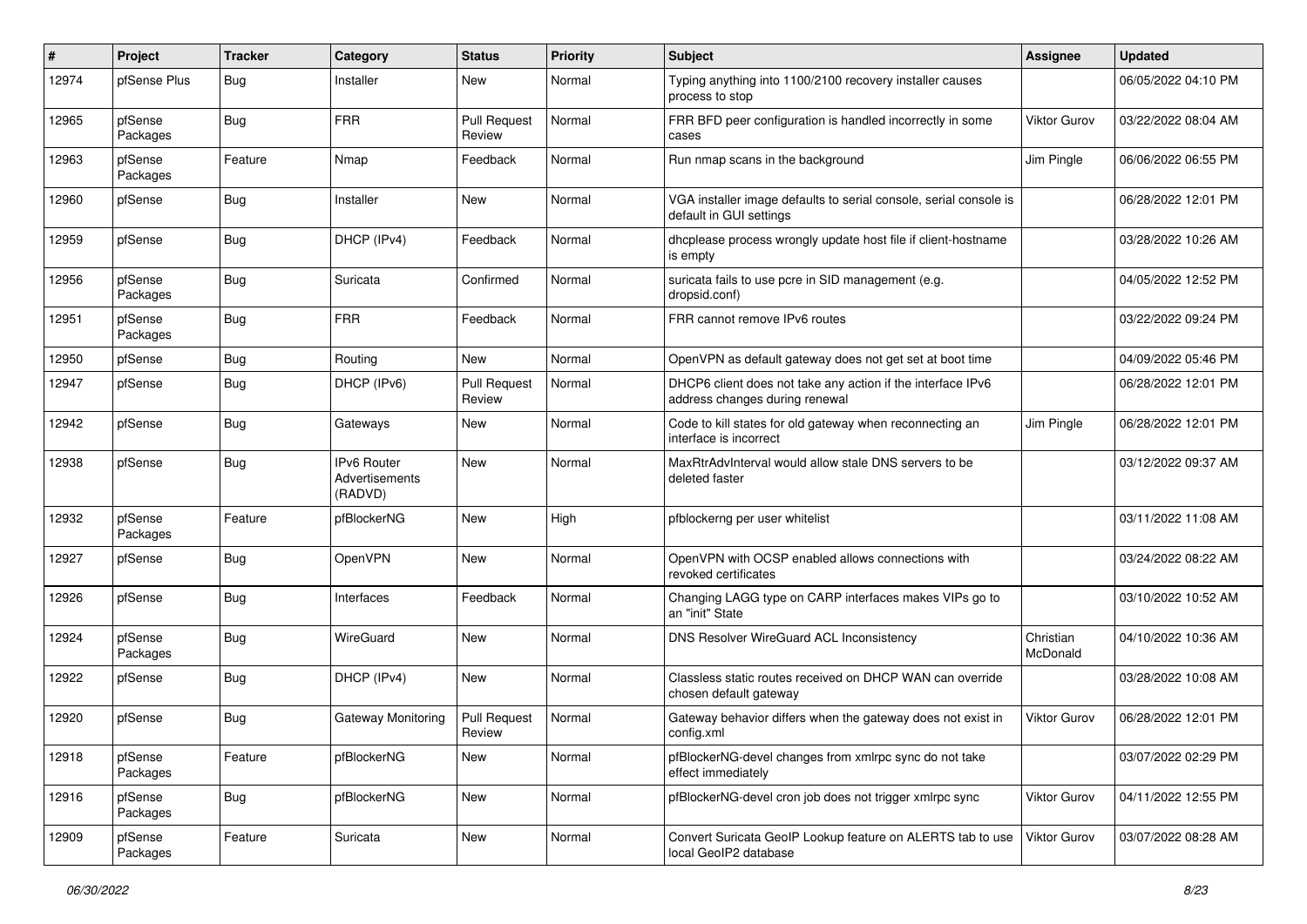| #     | Project             | <b>Tracker</b> | Category                                 | <b>Status</b>                 | <b>Priority</b> | Subject                                                                                       | Assignee              | <b>Updated</b>      |
|-------|---------------------|----------------|------------------------------------------|-------------------------------|-----------------|-----------------------------------------------------------------------------------------------|-----------------------|---------------------|
| 12974 | pfSense Plus        | <b>Bug</b>     | Installer                                | <b>New</b>                    | Normal          | Typing anything into 1100/2100 recovery installer causes<br>process to stop                   |                       | 06/05/2022 04:10 PM |
| 12965 | pfSense<br>Packages | <b>Bug</b>     | <b>FRR</b>                               | <b>Pull Request</b><br>Review | Normal          | FRR BFD peer configuration is handled incorrectly in some<br>cases                            | <b>Viktor Gurov</b>   | 03/22/2022 08:04 AM |
| 12963 | pfSense<br>Packages | Feature        | Nmap                                     | Feedback                      | Normal          | Run nmap scans in the background                                                              | Jim Pingle            | 06/06/2022 06:55 PM |
| 12960 | pfSense             | <b>Bug</b>     | Installer                                | New                           | Normal          | VGA installer image defaults to serial console, serial console is<br>default in GUI settings  |                       | 06/28/2022 12:01 PM |
| 12959 | pfSense             | <b>Bug</b>     | DHCP (IPv4)                              | Feedback                      | Normal          | dhcplease process wrongly update host file if client-hostname<br>is empty                     |                       | 03/28/2022 10:26 AM |
| 12956 | pfSense<br>Packages | <b>Bug</b>     | Suricata                                 | Confirmed                     | Normal          | suricata fails to use pcre in SID management (e.g.<br>dropsid.conf)                           |                       | 04/05/2022 12:52 PM |
| 12951 | pfSense<br>Packages | <b>Bug</b>     | <b>FRR</b>                               | Feedback                      | Normal          | FRR cannot remove IPv6 routes                                                                 |                       | 03/22/2022 09:24 PM |
| 12950 | pfSense             | <b>Bug</b>     | Routing                                  | New                           | Normal          | OpenVPN as default gateway does not get set at boot time                                      |                       | 04/09/2022 05:46 PM |
| 12947 | pfSense             | <b>Bug</b>     | DHCP (IPv6)                              | Pull Request<br>Review        | Normal          | DHCP6 client does not take any action if the interface IPv6<br>address changes during renewal |                       | 06/28/2022 12:01 PM |
| 12942 | pfSense             | <b>Bug</b>     | Gateways                                 | New                           | Normal          | Code to kill states for old gateway when reconnecting an<br>interface is incorrect            | Jim Pingle            | 06/28/2022 12:01 PM |
| 12938 | pfSense             | <b>Bug</b>     | IPv6 Router<br>Advertisements<br>(RADVD) | New                           | Normal          | MaxRtrAdvInterval would allow stale DNS servers to be<br>deleted faster                       |                       | 03/12/2022 09:37 AM |
| 12932 | pfSense<br>Packages | Feature        | pfBlockerNG                              | New                           | High            | pfblockerng per user whitelist                                                                |                       | 03/11/2022 11:08 AM |
| 12927 | pfSense             | Bug            | OpenVPN                                  | New                           | Normal          | OpenVPN with OCSP enabled allows connections with<br>revoked certificates                     |                       | 03/24/2022 08:22 AM |
| 12926 | pfSense             | <b>Bug</b>     | Interfaces                               | Feedback                      | Normal          | Changing LAGG type on CARP interfaces makes VIPs go to<br>an "init" State                     |                       | 03/10/2022 10:52 AM |
| 12924 | pfSense<br>Packages | <b>Bug</b>     | WireGuard                                | New                           | Normal          | DNS Resolver WireGuard ACL Inconsistency                                                      | Christian<br>McDonald | 04/10/2022 10:36 AM |
| 12922 | pfSense             | <b>Bug</b>     | DHCP (IPv4)                              | New                           | Normal          | Classless static routes received on DHCP WAN can override<br>chosen default gateway           |                       | 03/28/2022 10:08 AM |
| 12920 | pfSense             | Bug            | Gateway Monitoring                       | <b>Pull Request</b><br>Review | Normal          | Gateway behavior differs when the gateway does not exist in<br>config.xml                     | Viktor Gurov          | 06/28/2022 12:01 PM |
| 12918 | pfSense<br>Packages | Feature        | pfBlockerNG                              | New                           | Normal          | pfBlockerNG-devel changes from xmlrpc sync do not take<br>effect immediately                  |                       | 03/07/2022 02:29 PM |
| 12916 | pfSense<br>Packages | <b>Bug</b>     | pfBlockerNG                              | New                           | Normal          | pfBlockerNG-devel cron job does not trigger xmlrpc sync                                       | Viktor Gurov          | 04/11/2022 12:55 PM |
| 12909 | pfSense<br>Packages | Feature        | Suricata                                 | New                           | Normal          | Convert Suricata GeoIP Lookup feature on ALERTS tab to use<br>local GeoIP2 database           | Viktor Gurov          | 03/07/2022 08:28 AM |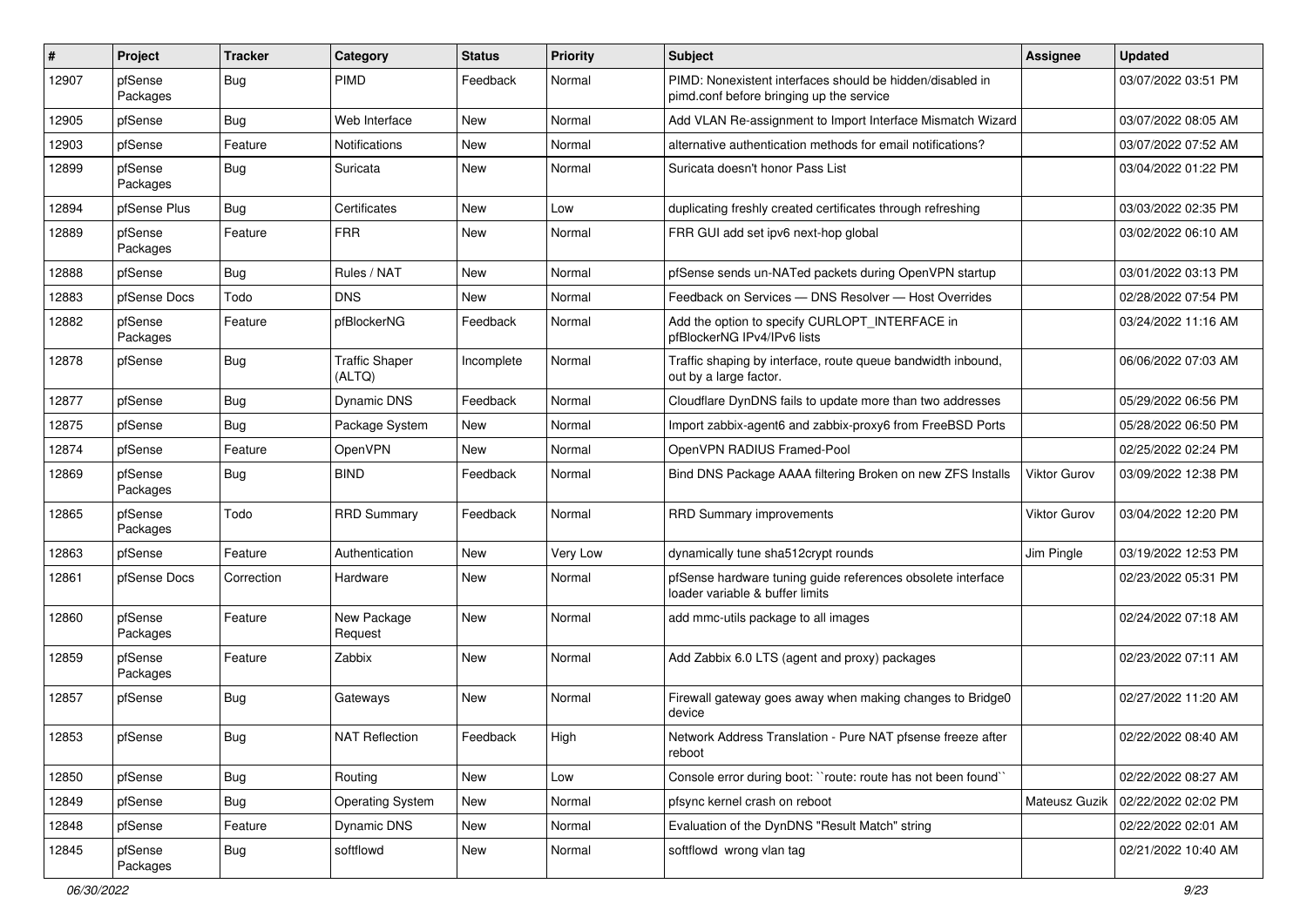| ∦     | Project             | <b>Tracker</b> | Category                        | <b>Status</b> | <b>Priority</b> | <b>Subject</b>                                                                                        | Assignee            | <b>Updated</b>      |
|-------|---------------------|----------------|---------------------------------|---------------|-----------------|-------------------------------------------------------------------------------------------------------|---------------------|---------------------|
| 12907 | pfSense<br>Packages | <b>Bug</b>     | <b>PIMD</b>                     | Feedback      | Normal          | PIMD: Nonexistent interfaces should be hidden/disabled in<br>pimd.conf before bringing up the service |                     | 03/07/2022 03:51 PM |
| 12905 | pfSense             | Bug            | Web Interface                   | New           | Normal          | Add VLAN Re-assignment to Import Interface Mismatch Wizard                                            |                     | 03/07/2022 08:05 AM |
| 12903 | pfSense             | Feature        | <b>Notifications</b>            | New           | Normal          | alternative authentication methods for email notifications?                                           |                     | 03/07/2022 07:52 AM |
| 12899 | pfSense<br>Packages | <b>Bug</b>     | Suricata                        | <b>New</b>    | Normal          | Suricata doesn't honor Pass List                                                                      |                     | 03/04/2022 01:22 PM |
| 12894 | pfSense Plus        | Bug            | Certificates                    | <b>New</b>    | Low             | duplicating freshly created certificates through refreshing                                           |                     | 03/03/2022 02:35 PM |
| 12889 | pfSense<br>Packages | Feature        | <b>FRR</b>                      | New           | Normal          | FRR GUI add set ipv6 next-hop global                                                                  |                     | 03/02/2022 06:10 AM |
| 12888 | pfSense             | <b>Bug</b>     | Rules / NAT                     | <b>New</b>    | Normal          | pfSense sends un-NATed packets during OpenVPN startup                                                 |                     | 03/01/2022 03:13 PM |
| 12883 | pfSense Docs        | Todo           | <b>DNS</b>                      | New           | Normal          | Feedback on Services - DNS Resolver - Host Overrides                                                  |                     | 02/28/2022 07:54 PM |
| 12882 | pfSense<br>Packages | Feature        | pfBlockerNG                     | Feedback      | Normal          | Add the option to specify CURLOPT_INTERFACE in<br>pfBlockerNG IPv4/IPv6 lists                         |                     | 03/24/2022 11:16 AM |
| 12878 | pfSense             | <b>Bug</b>     | <b>Traffic Shaper</b><br>(ALTQ) | Incomplete    | Normal          | Traffic shaping by interface, route queue bandwidth inbound,<br>out by a large factor.                |                     | 06/06/2022 07:03 AM |
| 12877 | pfSense             | Bug            | <b>Dynamic DNS</b>              | Feedback      | Normal          | Cloudflare DynDNS fails to update more than two addresses                                             |                     | 05/29/2022 06:56 PM |
| 12875 | pfSense             | Bug            | Package System                  | New           | Normal          | Import zabbix-agent6 and zabbix-proxy6 from FreeBSD Ports                                             |                     | 05/28/2022 06:50 PM |
| 12874 | pfSense             | Feature        | OpenVPN                         | <b>New</b>    | Normal          | OpenVPN RADIUS Framed-Pool                                                                            |                     | 02/25/2022 02:24 PM |
| 12869 | pfSense<br>Packages | Bug            | <b>BIND</b>                     | Feedback      | Normal          | Bind DNS Package AAAA filtering Broken on new ZFS Installs                                            | Viktor Gurov        | 03/09/2022 12:38 PM |
| 12865 | pfSense<br>Packages | Todo           | <b>RRD Summary</b>              | Feedback      | Normal          | <b>RRD Summary improvements</b>                                                                       | <b>Viktor Gurov</b> | 03/04/2022 12:20 PM |
| 12863 | pfSense             | Feature        | Authentication                  | New           | Very Low        | dynamically tune sha512crypt rounds                                                                   | Jim Pingle          | 03/19/2022 12:53 PM |
| 12861 | pfSense Docs        | Correction     | Hardware                        | <b>New</b>    | Normal          | pfSense hardware tuning guide references obsolete interface<br>loader variable & buffer limits        |                     | 02/23/2022 05:31 PM |
| 12860 | pfSense<br>Packages | Feature        | New Package<br>Request          | New           | Normal          | add mmc-utils package to all images                                                                   |                     | 02/24/2022 07:18 AM |
| 12859 | pfSense<br>Packages | Feature        | Zabbix                          | New           | Normal          | Add Zabbix 6.0 LTS (agent and proxy) packages                                                         |                     | 02/23/2022 07:11 AM |
| 12857 | pfSense             | <b>Bug</b>     | Gateways                        | New           | Normal          | Firewall gateway goes away when making changes to Bridge0<br>device                                   |                     | 02/27/2022 11:20 AM |
| 12853 | pfSense             | Bug            | <b>NAT Reflection</b>           | Feedback      | High            | Network Address Translation - Pure NAT pfsense freeze after<br>reboot                                 |                     | 02/22/2022 08:40 AM |
| 12850 | pfSense             | <b>Bug</b>     | Routing                         | New           | Low             | Console error during boot: "route: route has not been found"                                          |                     | 02/22/2022 08:27 AM |
| 12849 | pfSense             | <b>Bug</b>     | <b>Operating System</b>         | <b>New</b>    | Normal          | pfsync kernel crash on reboot                                                                         | Mateusz Guzik       | 02/22/2022 02:02 PM |
| 12848 | pfSense             | Feature        | Dynamic DNS                     | New           | Normal          | Evaluation of the DynDNS "Result Match" string                                                        |                     | 02/22/2022 02:01 AM |
| 12845 | pfSense<br>Packages | <b>Bug</b>     | softflowd                       | New           | Normal          | softflowd wrong vlan tag                                                                              |                     | 02/21/2022 10:40 AM |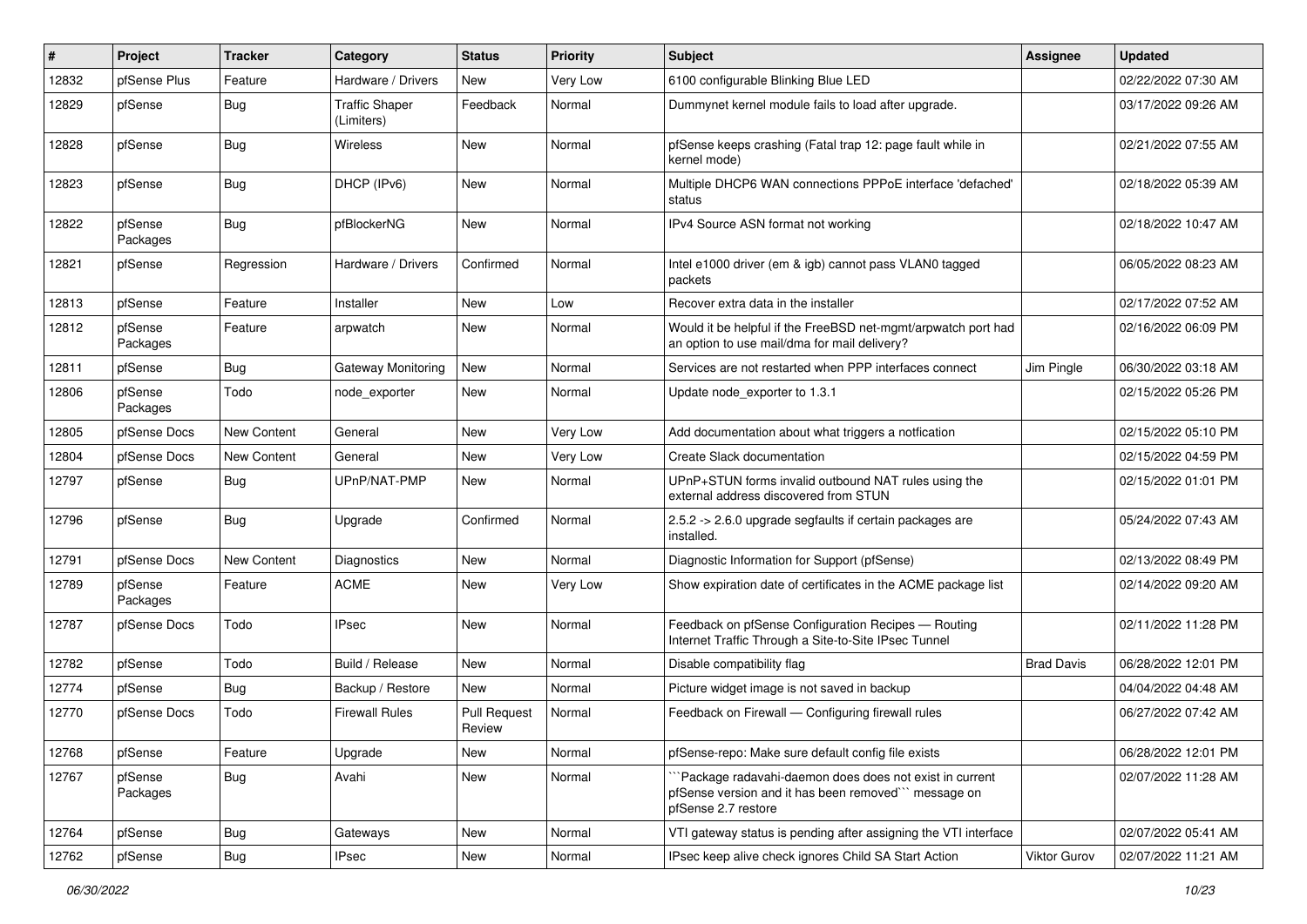| #     | Project             | <b>Tracker</b> | Category                            | <b>Status</b>                 | <b>Priority</b> | <b>Subject</b>                                                                                                                        | <b>Assignee</b>   | <b>Updated</b>      |
|-------|---------------------|----------------|-------------------------------------|-------------------------------|-----------------|---------------------------------------------------------------------------------------------------------------------------------------|-------------------|---------------------|
| 12832 | pfSense Plus        | Feature        | Hardware / Drivers                  | New                           | Very Low        | 6100 configurable Blinking Blue LED                                                                                                   |                   | 02/22/2022 07:30 AM |
| 12829 | pfSense             | <b>Bug</b>     | <b>Traffic Shaper</b><br>(Limiters) | Feedback                      | Normal          | Dummynet kernel module fails to load after upgrade.                                                                                   |                   | 03/17/2022 09:26 AM |
| 12828 | pfSense             | <b>Bug</b>     | <b>Wireless</b>                     | New                           | Normal          | pfSense keeps crashing (Fatal trap 12: page fault while in<br>kernel mode)                                                            |                   | 02/21/2022 07:55 AM |
| 12823 | pfSense             | <b>Bug</b>     | DHCP (IPv6)                         | New                           | Normal          | Multiple DHCP6 WAN connections PPPoE interface 'defached'<br>status                                                                   |                   | 02/18/2022 05:39 AM |
| 12822 | pfSense<br>Packages | <b>Bug</b>     | pfBlockerNG                         | <b>New</b>                    | Normal          | IPv4 Source ASN format not working                                                                                                    |                   | 02/18/2022 10:47 AM |
| 12821 | pfSense             | Regression     | Hardware / Drivers                  | Confirmed                     | Normal          | Intel e1000 driver (em & igb) cannot pass VLAN0 tagged<br>packets                                                                     |                   | 06/05/2022 08:23 AM |
| 12813 | pfSense             | Feature        | Installer                           | New                           | Low             | Recover extra data in the installer                                                                                                   |                   | 02/17/2022 07:52 AM |
| 12812 | pfSense<br>Packages | Feature        | arpwatch                            | New                           | Normal          | Would it be helpful if the FreeBSD net-mgmt/arpwatch port had<br>an option to use mail/dma for mail delivery?                         |                   | 02/16/2022 06:09 PM |
| 12811 | pfSense             | <b>Bug</b>     | Gateway Monitoring                  | <b>New</b>                    | Normal          | Services are not restarted when PPP interfaces connect                                                                                | Jim Pingle        | 06/30/2022 03:18 AM |
| 12806 | pfSense<br>Packages | Todo           | node exporter                       | New                           | Normal          | Update node_exporter to 1.3.1                                                                                                         |                   | 02/15/2022 05:26 PM |
| 12805 | pfSense Docs        | New Content    | General                             | New                           | Very Low        | Add documentation about what triggers a notfication                                                                                   |                   | 02/15/2022 05:10 PM |
| 12804 | pfSense Docs        | New Content    | General                             | <b>New</b>                    | Very Low        | Create Slack documentation                                                                                                            |                   | 02/15/2022 04:59 PM |
| 12797 | pfSense             | <b>Bug</b>     | UPnP/NAT-PMP                        | New                           | Normal          | UPnP+STUN forms invalid outbound NAT rules using the<br>external address discovered from STUN                                         |                   | 02/15/2022 01:01 PM |
| 12796 | pfSense             | Bug            | Upgrade                             | Confirmed                     | Normal          | 2.5.2 -> 2.6.0 upgrade segfaults if certain packages are<br>installed.                                                                |                   | 05/24/2022 07:43 AM |
| 12791 | pfSense Docs        | New Content    | Diagnostics                         | New                           | Normal          | Diagnostic Information for Support (pfSense)                                                                                          |                   | 02/13/2022 08:49 PM |
| 12789 | pfSense<br>Packages | Feature        | <b>ACME</b>                         | New                           | Very Low        | Show expiration date of certificates in the ACME package list                                                                         |                   | 02/14/2022 09:20 AM |
| 12787 | pfSense Docs        | Todo           | <b>IPsec</b>                        | <b>New</b>                    | Normal          | Feedback on pfSense Configuration Recipes - Routing<br>Internet Traffic Through a Site-to-Site IPsec Tunnel                           |                   | 02/11/2022 11:28 PM |
| 12782 | pfSense             | Todo           | Build / Release                     | <b>New</b>                    | Normal          | Disable compatibility flag                                                                                                            | <b>Brad Davis</b> | 06/28/2022 12:01 PM |
| 12774 | pfSense             | Bug            | Backup / Restore                    | New                           | Normal          | Picture widget image is not saved in backup                                                                                           |                   | 04/04/2022 04:48 AM |
| 12770 | pfSense Docs        | Todo           | <b>Firewall Rules</b>               | <b>Pull Request</b><br>Review | Normal          | Feedback on Firewall - Configuring firewall rules                                                                                     |                   | 06/27/2022 07:42 AM |
| 12768 | pfSense             | Feature        | Upgrade                             | New                           | Normal          | pfSense-repo: Make sure default config file exists                                                                                    |                   | 06/28/2022 12:01 PM |
| 12767 | pfSense<br>Packages | <b>Bug</b>     | Avahi                               | New                           | Normal          | 'Package radavahi-daemon does does not exist in current<br>pfSense version and it has been removed" message on<br>pfSense 2.7 restore |                   | 02/07/2022 11:28 AM |
| 12764 | pfSense             | <b>Bug</b>     | Gateways                            | <b>New</b>                    | Normal          | VTI gateway status is pending after assigning the VTI interface                                                                       |                   | 02/07/2022 05:41 AM |
| 12762 | pfSense             | <b>Bug</b>     | <b>IPsec</b>                        | New                           | Normal          | IPsec keep alive check ignores Child SA Start Action                                                                                  | Viktor Gurov      | 02/07/2022 11:21 AM |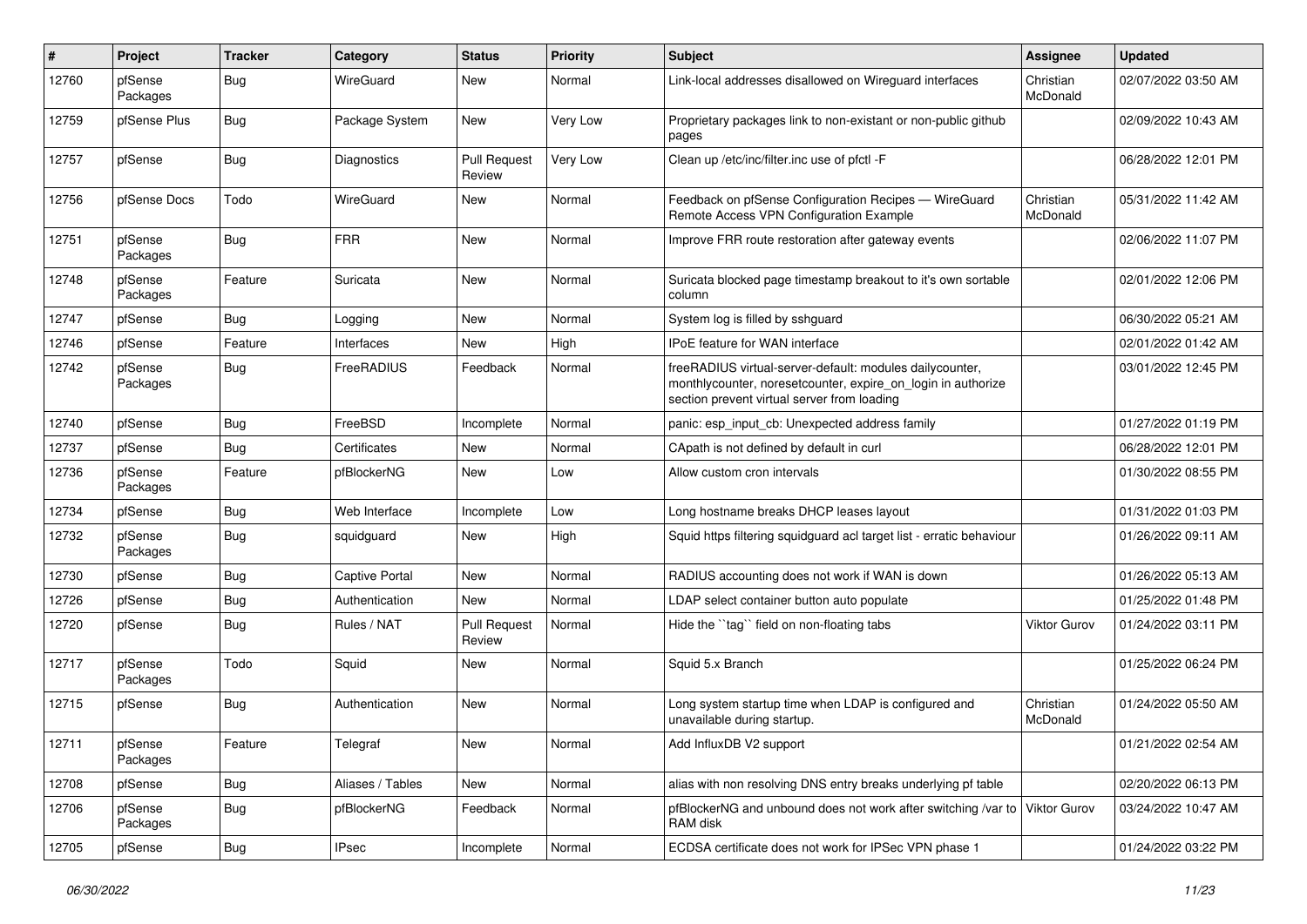| #     | Project             | <b>Tracker</b> | Category              | <b>Status</b>                 | <b>Priority</b> | <b>Subject</b>                                                                                                                                                          | <b>Assignee</b>       | <b>Updated</b>      |
|-------|---------------------|----------------|-----------------------|-------------------------------|-----------------|-------------------------------------------------------------------------------------------------------------------------------------------------------------------------|-----------------------|---------------------|
| 12760 | pfSense<br>Packages | <b>Bug</b>     | WireGuard             | <b>New</b>                    | Normal          | Link-local addresses disallowed on Wireguard interfaces                                                                                                                 | Christian<br>McDonald | 02/07/2022 03:50 AM |
| 12759 | pfSense Plus        | Bug            | Package System        | New                           | Very Low        | Proprietary packages link to non-existant or non-public github<br>pages                                                                                                 |                       | 02/09/2022 10:43 AM |
| 12757 | pfSense             | <b>Bug</b>     | <b>Diagnostics</b>    | <b>Pull Request</b><br>Review | Very Low        | Clean up /etc/inc/filter.inc use of pfctl -F                                                                                                                            |                       | 06/28/2022 12:01 PM |
| 12756 | pfSense Docs        | Todo           | WireGuard             | New                           | Normal          | Feedback on pfSense Configuration Recipes - WireGuard<br>Remote Access VPN Configuration Example                                                                        | Christian<br>McDonald | 05/31/2022 11:42 AM |
| 12751 | pfSense<br>Packages | <b>Bug</b>     | <b>FRR</b>            | New                           | Normal          | Improve FRR route restoration after gateway events                                                                                                                      |                       | 02/06/2022 11:07 PM |
| 12748 | pfSense<br>Packages | Feature        | Suricata              | <b>New</b>                    | Normal          | Suricata blocked page timestamp breakout to it's own sortable<br>column                                                                                                 |                       | 02/01/2022 12:06 PM |
| 12747 | pfSense             | <b>Bug</b>     | Logging               | <b>New</b>                    | Normal          | System log is filled by sshguard                                                                                                                                        |                       | 06/30/2022 05:21 AM |
| 12746 | pfSense             | Feature        | Interfaces            | New                           | High            | <b>IPoE</b> feature for WAN interface                                                                                                                                   |                       | 02/01/2022 01:42 AM |
| 12742 | pfSense<br>Packages | <b>Bug</b>     | FreeRADIUS            | Feedback                      | Normal          | freeRADIUS virtual-server-default: modules dailycounter,<br>monthlycounter, noresetcounter, expire_on_login in authorize<br>section prevent virtual server from loading |                       | 03/01/2022 12:45 PM |
| 12740 | pfSense             | <b>Bug</b>     | FreeBSD               | Incomplete                    | Normal          | panic: esp_input_cb: Unexpected address family                                                                                                                          |                       | 01/27/2022 01:19 PM |
| 12737 | pfSense             | <b>Bug</b>     | Certificates          | <b>New</b>                    | Normal          | CApath is not defined by default in curl                                                                                                                                |                       | 06/28/2022 12:01 PM |
| 12736 | pfSense<br>Packages | Feature        | pfBlockerNG           | New                           | Low             | Allow custom cron intervals                                                                                                                                             |                       | 01/30/2022 08:55 PM |
| 12734 | pfSense             | Bug            | Web Interface         | Incomplete                    | Low             | Long hostname breaks DHCP leases layout                                                                                                                                 |                       | 01/31/2022 01:03 PM |
| 12732 | pfSense<br>Packages | <b>Bug</b>     | squidguard            | New                           | High            | Squid https filtering squidguard acl target list - erratic behaviour                                                                                                    |                       | 01/26/2022 09:11 AM |
| 12730 | pfSense             | Bug            | <b>Captive Portal</b> | New                           | Normal          | RADIUS accounting does not work if WAN is down                                                                                                                          |                       | 01/26/2022 05:13 AM |
| 12726 | pfSense             | Bug            | Authentication        | New                           | Normal          | LDAP select container button auto populate                                                                                                                              |                       | 01/25/2022 01:48 PM |
| 12720 | pfSense             | <b>Bug</b>     | Rules / NAT           | <b>Pull Request</b><br>Review | Normal          | Hide the "tag" field on non-floating tabs                                                                                                                               | <b>Viktor Gurov</b>   | 01/24/2022 03:11 PM |
| 12717 | pfSense<br>Packages | Todo           | Squid                 | <b>New</b>                    | Normal          | Squid 5.x Branch                                                                                                                                                        |                       | 01/25/2022 06:24 PM |
| 12715 | pfSense             | <b>Bug</b>     | Authentication        | <b>New</b>                    | Normal          | Long system startup time when LDAP is configured and<br>unavailable during startup.                                                                                     | Christian<br>McDonald | 01/24/2022 05:50 AM |
| 12711 | pfSense<br>Packages | Feature        | Telegraf              | New                           | Normal          | Add InfluxDB V2 support                                                                                                                                                 |                       | 01/21/2022 02:54 AM |
| 12708 | pfSense             | <b>Bug</b>     | Aliases / Tables      | New                           | Normal          | alias with non resolving DNS entry breaks underlying pf table                                                                                                           |                       | 02/20/2022 06:13 PM |
| 12706 | pfSense<br>Packages | <b>Bug</b>     | pfBlockerNG           | Feedback                      | Normal          | pfBlockerNG and unbound does not work after switching /var to<br>RAM disk                                                                                               | Viktor Gurov          | 03/24/2022 10:47 AM |
| 12705 | pfSense             | <b>Bug</b>     | <b>IPsec</b>          | Incomplete                    | Normal          | ECDSA certificate does not work for IPSec VPN phase 1                                                                                                                   |                       | 01/24/2022 03:22 PM |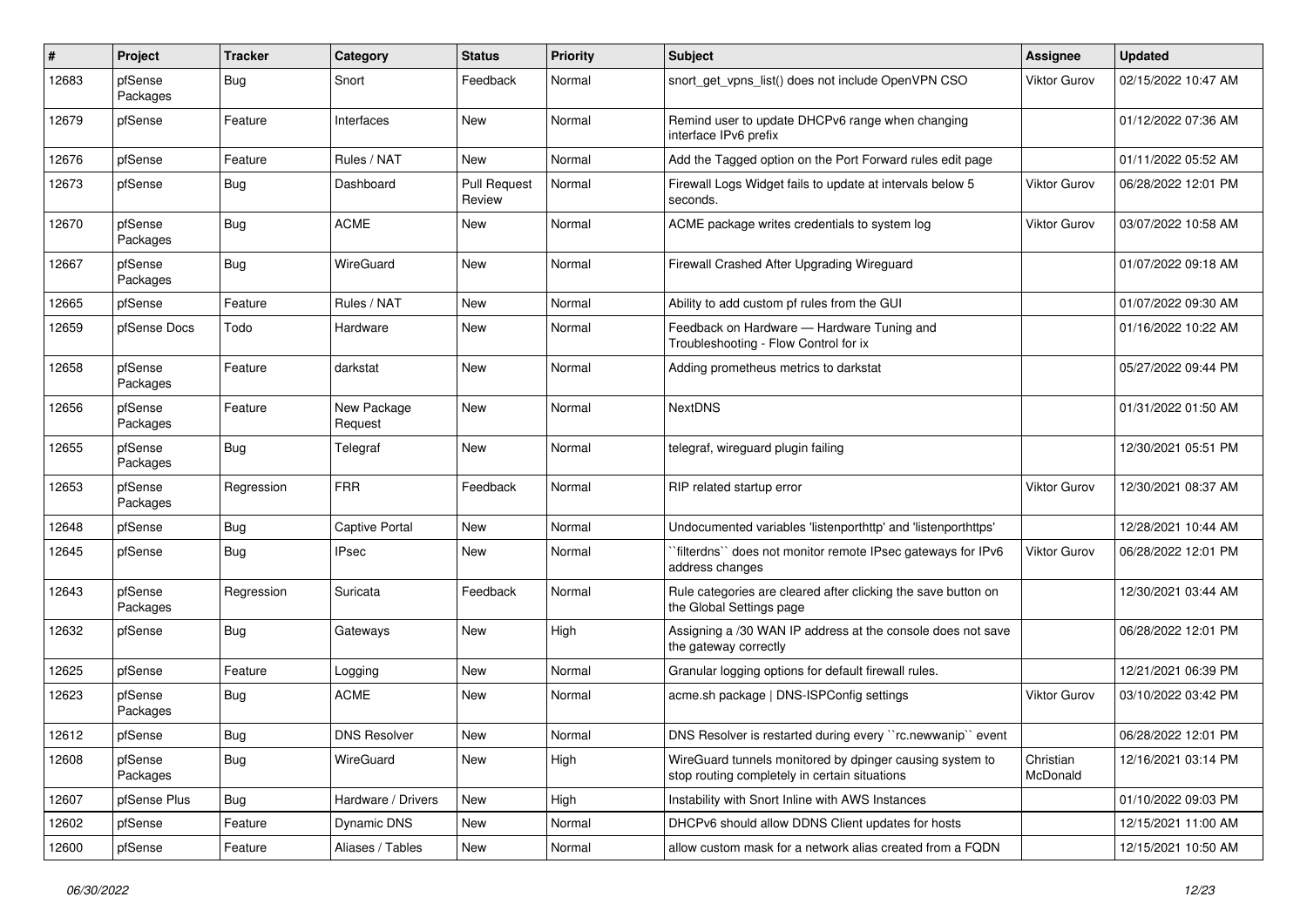| #     | Project             | <b>Tracker</b> | Category               | <b>Status</b>                 | <b>Priority</b> | Subject                                                                                                   | <b>Assignee</b>       | <b>Updated</b>      |
|-------|---------------------|----------------|------------------------|-------------------------------|-----------------|-----------------------------------------------------------------------------------------------------------|-----------------------|---------------------|
| 12683 | pfSense<br>Packages | <b>Bug</b>     | Snort                  | Feedback                      | Normal          | snort get vpns list() does not include OpenVPN CSO                                                        | Viktor Gurov          | 02/15/2022 10:47 AM |
| 12679 | pfSense             | Feature        | Interfaces             | New                           | Normal          | Remind user to update DHCPv6 range when changing<br>interface IPv6 prefix                                 |                       | 01/12/2022 07:36 AM |
| 12676 | pfSense             | Feature        | Rules / NAT            | <b>New</b>                    | Normal          | Add the Tagged option on the Port Forward rules edit page                                                 |                       | 01/11/2022 05:52 AM |
| 12673 | pfSense             | Bug            | Dashboard              | <b>Pull Request</b><br>Review | Normal          | Firewall Logs Widget fails to update at intervals below 5<br>seconds.                                     | <b>Viktor Gurov</b>   | 06/28/2022 12:01 PM |
| 12670 | pfSense<br>Packages | <b>Bug</b>     | <b>ACME</b>            | New                           | Normal          | ACME package writes credentials to system log                                                             | <b>Viktor Gurov</b>   | 03/07/2022 10:58 AM |
| 12667 | pfSense<br>Packages | Bug            | <b>WireGuard</b>       | New                           | Normal          | Firewall Crashed After Upgrading Wireguard                                                                |                       | 01/07/2022 09:18 AM |
| 12665 | pfSense             | Feature        | Rules / NAT            | <b>New</b>                    | Normal          | Ability to add custom pf rules from the GUI                                                               |                       | 01/07/2022 09:30 AM |
| 12659 | pfSense Docs        | Todo           | Hardware               | New                           | Normal          | Feedback on Hardware - Hardware Tuning and<br>Troubleshooting - Flow Control for ix                       |                       | 01/16/2022 10:22 AM |
| 12658 | pfSense<br>Packages | Feature        | darkstat               | New                           | Normal          | Adding prometheus metrics to darkstat                                                                     |                       | 05/27/2022 09:44 PM |
| 12656 | pfSense<br>Packages | Feature        | New Package<br>Request | New                           | Normal          | <b>NextDNS</b>                                                                                            |                       | 01/31/2022 01:50 AM |
| 12655 | pfSense<br>Packages | Bug            | Telegraf               | New                           | Normal          | telegraf, wireguard plugin failing                                                                        |                       | 12/30/2021 05:51 PM |
| 12653 | pfSense<br>Packages | Regression     | <b>FRR</b>             | Feedback                      | Normal          | RIP related startup error                                                                                 | <b>Viktor Gurov</b>   | 12/30/2021 08:37 AM |
| 12648 | pfSense             | <b>Bug</b>     | <b>Captive Portal</b>  | <b>New</b>                    | Normal          | Undocumented variables 'listenporthttp' and 'listenporthttps'                                             |                       | 12/28/2021 10:44 AM |
| 12645 | pfSense             | <b>Bug</b>     | <b>IPsec</b>           | New                           | Normal          | "filterdns" does not monitor remote IPsec gateways for IPv6<br>address changes                            | <b>Viktor Gurov</b>   | 06/28/2022 12:01 PM |
| 12643 | pfSense<br>Packages | Regression     | Suricata               | Feedback                      | Normal          | Rule categories are cleared after clicking the save button on<br>the Global Settings page                 |                       | 12/30/2021 03:44 AM |
| 12632 | pfSense             | Bug            | Gateways               | New                           | High            | Assigning a /30 WAN IP address at the console does not save<br>the gateway correctly                      |                       | 06/28/2022 12:01 PM |
| 12625 | pfSense             | Feature        | Logging                | New                           | Normal          | Granular logging options for default firewall rules.                                                      |                       | 12/21/2021 06:39 PM |
| 12623 | pfSense<br>Packages | <b>Bug</b>     | ACME                   | New                           | Normal          | acme.sh package   DNS-ISPConfig settings                                                                  | Viktor Gurov          | 03/10/2022 03:42 PM |
| 12612 | pfSense             | Bug            | <b>DNS Resolver</b>    | New                           | Normal          | DNS Resolver is restarted during every "rc.newwanip" event                                                |                       | 06/28/2022 12:01 PM |
| 12608 | pfSense<br>Packages | <b>Bug</b>     | WireGuard              | New                           | High            | WireGuard tunnels monitored by dpinger causing system to<br>stop routing completely in certain situations | Christian<br>McDonald | 12/16/2021 03:14 PM |
| 12607 | pfSense Plus        | Bug            | Hardware / Drivers     | New                           | High            | Instability with Snort Inline with AWS Instances                                                          |                       | 01/10/2022 09:03 PM |
| 12602 | pfSense             | Feature        | Dynamic DNS            | New                           | Normal          | DHCPv6 should allow DDNS Client updates for hosts                                                         |                       | 12/15/2021 11:00 AM |
| 12600 | pfSense             | Feature        | Aliases / Tables       | New                           | Normal          | allow custom mask for a network alias created from a FQDN                                                 |                       | 12/15/2021 10:50 AM |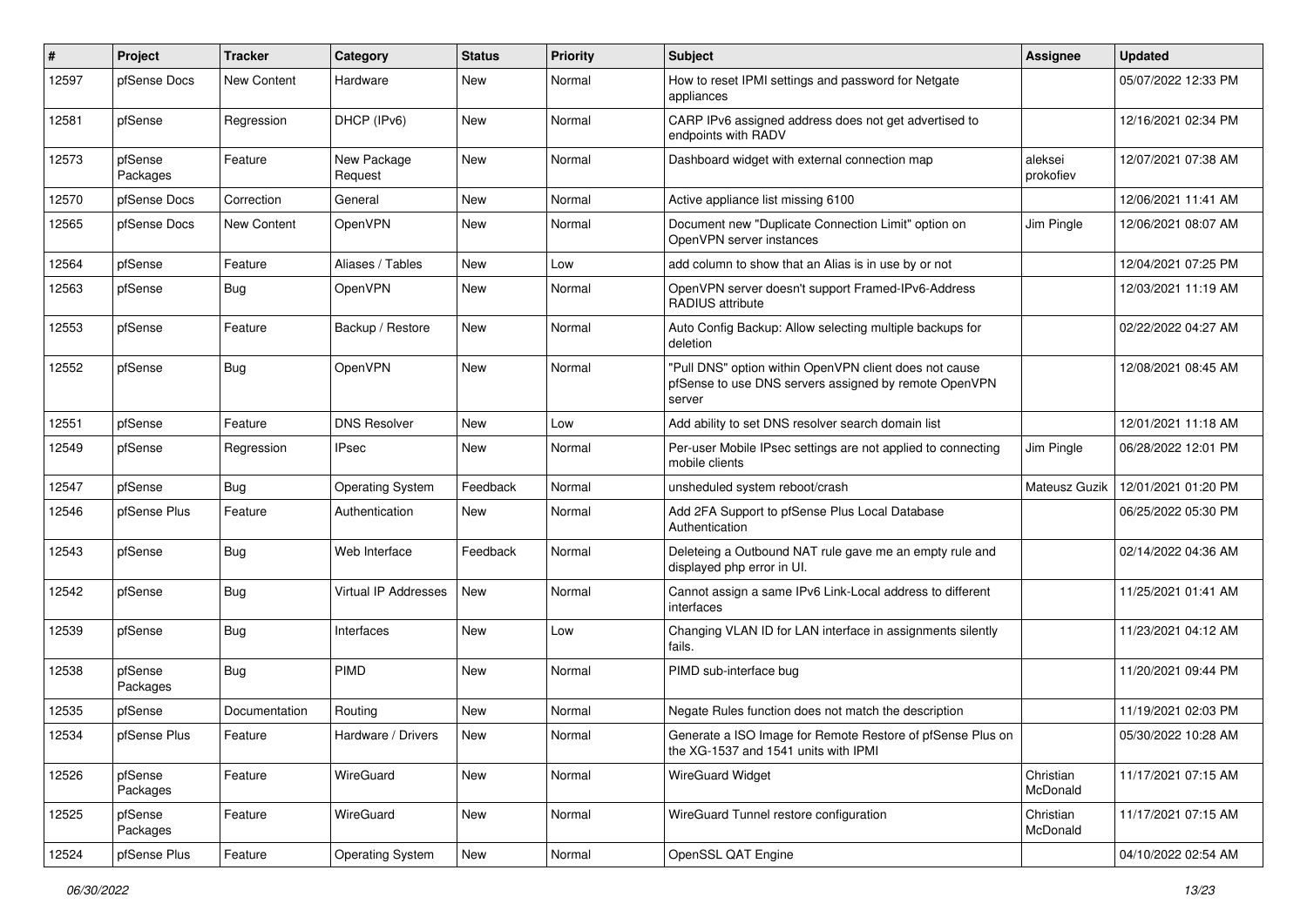| #     | Project             | <b>Tracker</b>     | Category                | <b>Status</b> | <b>Priority</b> | Subject                                                                                                                   | <b>Assignee</b>       | <b>Updated</b>      |
|-------|---------------------|--------------------|-------------------------|---------------|-----------------|---------------------------------------------------------------------------------------------------------------------------|-----------------------|---------------------|
| 12597 | pfSense Docs        | New Content        | Hardware                | <b>New</b>    | Normal          | How to reset IPMI settings and password for Netgate<br>appliances                                                         |                       | 05/07/2022 12:33 PM |
| 12581 | pfSense             | Regression         | DHCP (IPv6)             | <b>New</b>    | Normal          | CARP IPv6 assigned address does not get advertised to<br>endpoints with RADV                                              |                       | 12/16/2021 02:34 PM |
| 12573 | pfSense<br>Packages | Feature            | New Package<br>Request  | <b>New</b>    | Normal          | Dashboard widget with external connection map                                                                             | aleksei<br>prokofiev  | 12/07/2021 07:38 AM |
| 12570 | pfSense Docs        | Correction         | General                 | New           | Normal          | Active appliance list missing 6100                                                                                        |                       | 12/06/2021 11:41 AM |
| 12565 | pfSense Docs        | <b>New Content</b> | OpenVPN                 | New           | Normal          | Document new "Duplicate Connection Limit" option on<br>OpenVPN server instances                                           | Jim Pingle            | 12/06/2021 08:07 AM |
| 12564 | pfSense             | Feature            | Aliases / Tables        | New           | Low             | add column to show that an Alias is in use by or not                                                                      |                       | 12/04/2021 07:25 PM |
| 12563 | pfSense             | Bug                | OpenVPN                 | New           | Normal          | OpenVPN server doesn't support Framed-IPv6-Address<br><b>RADIUS attribute</b>                                             |                       | 12/03/2021 11:19 AM |
| 12553 | pfSense             | Feature            | Backup / Restore        | New           | Normal          | Auto Config Backup: Allow selecting multiple backups for<br>deletion                                                      |                       | 02/22/2022 04:27 AM |
| 12552 | pfSense             | <b>Bug</b>         | OpenVPN                 | New           | Normal          | "Pull DNS" option within OpenVPN client does not cause<br>pfSense to use DNS servers assigned by remote OpenVPN<br>server |                       | 12/08/2021 08:45 AM |
| 12551 | pfSense             | Feature            | <b>DNS Resolver</b>     | <b>New</b>    | Low             | Add ability to set DNS resolver search domain list                                                                        |                       | 12/01/2021 11:18 AM |
| 12549 | pfSense             | Regression         | <b>IPsec</b>            | New           | Normal          | Per-user Mobile IPsec settings are not applied to connecting<br>mobile clients                                            | Jim Pingle            | 06/28/2022 12:01 PM |
| 12547 | pfSense             | <b>Bug</b>         | <b>Operating System</b> | Feedback      | Normal          | unsheduled system reboot/crash                                                                                            | Mateusz Guzik         | 12/01/2021 01:20 PM |
| 12546 | pfSense Plus        | Feature            | Authentication          | New           | Normal          | Add 2FA Support to pfSense Plus Local Database<br>Authentication                                                          |                       | 06/25/2022 05:30 PM |
| 12543 | pfSense             | <b>Bug</b>         | Web Interface           | Feedback      | Normal          | Deleteing a Outbound NAT rule gave me an empty rule and<br>displayed php error in UI.                                     |                       | 02/14/2022 04:36 AM |
| 12542 | pfSense             | <b>Bug</b>         | Virtual IP Addresses    | New           | Normal          | Cannot assign a same IPv6 Link-Local address to different<br>interfaces                                                   |                       | 11/25/2021 01:41 AM |
| 12539 | pfSense             | Bug                | Interfaces              | New           | Low             | Changing VLAN ID for LAN interface in assignments silently<br>fails.                                                      |                       | 11/23/2021 04:12 AM |
| 12538 | pfSense<br>Packages | Bug                | <b>PIMD</b>             | New           | Normal          | PIMD sub-interface bug                                                                                                    |                       | 11/20/2021 09:44 PM |
| 12535 | pfSense             | Documentation      | Routing                 | <b>New</b>    | Normal          | Negate Rules function does not match the description                                                                      |                       | 11/19/2021 02:03 PM |
| 12534 | pfSense Plus        | Feature            | Hardware / Drivers      | New           | Normal          | Generate a ISO Image for Remote Restore of pfSense Plus on<br>the XG-1537 and 1541 units with IPMI                        |                       | 05/30/2022 10:28 AM |
| 12526 | pfSense<br>Packages | Feature            | WireGuard               | New           | Normal          | WireGuard Widget                                                                                                          | Christian<br>McDonald | 11/17/2021 07:15 AM |
| 12525 | pfSense<br>Packages | Feature            | WireGuard               | New           | Normal          | WireGuard Tunnel restore configuration                                                                                    | Christian<br>McDonald | 11/17/2021 07:15 AM |
| 12524 | pfSense Plus        | Feature            | <b>Operating System</b> | New           | Normal          | OpenSSL QAT Engine                                                                                                        |                       | 04/10/2022 02:54 AM |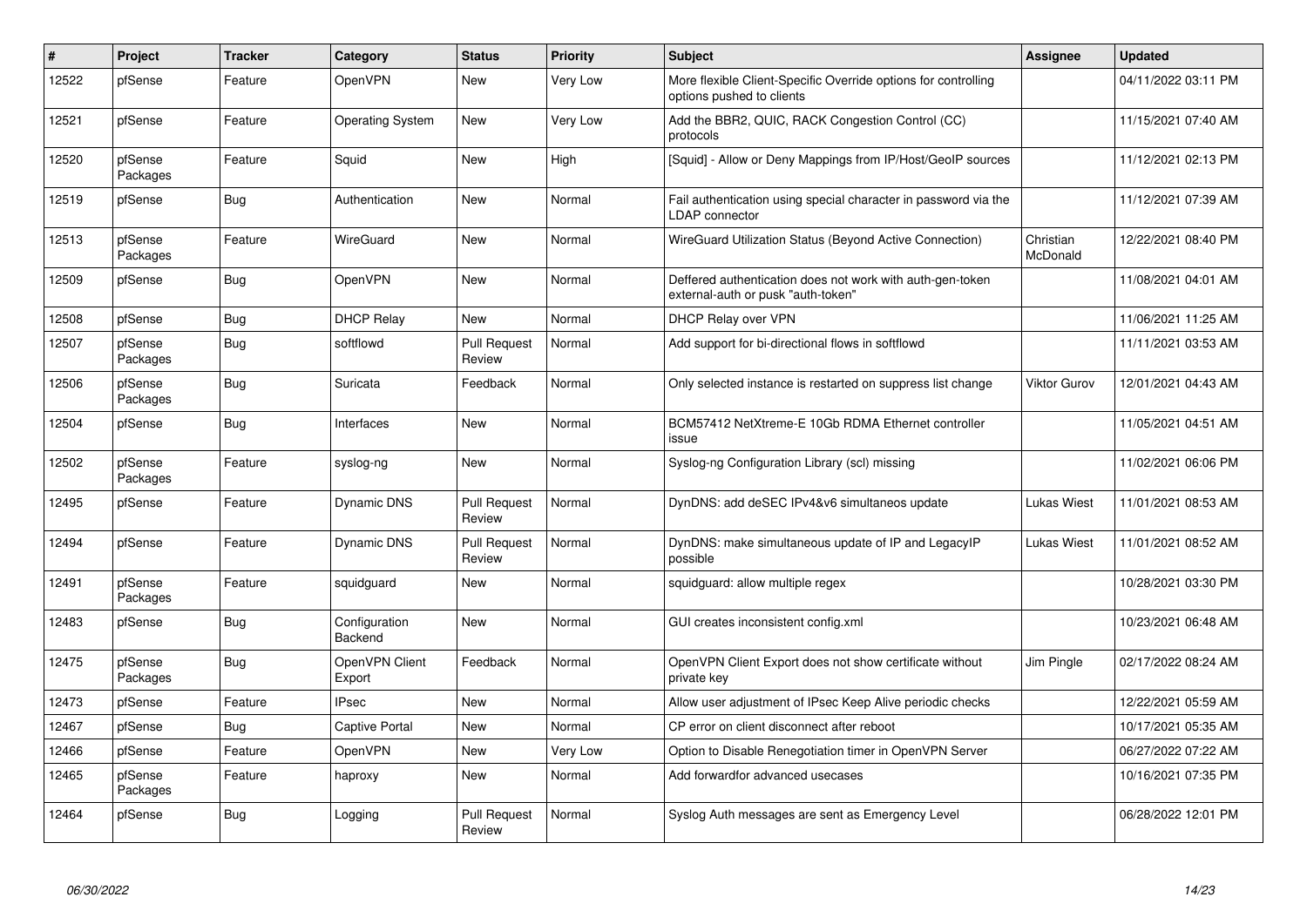| #     | Project             | <b>Tracker</b> | Category                 | <b>Status</b>                 | <b>Priority</b> | <b>Subject</b>                                                                                  | Assignee              | <b>Updated</b>      |
|-------|---------------------|----------------|--------------------------|-------------------------------|-----------------|-------------------------------------------------------------------------------------------------|-----------------------|---------------------|
| 12522 | pfSense             | Feature        | OpenVPN                  | <b>New</b>                    | Very Low        | More flexible Client-Specific Override options for controlling<br>options pushed to clients     |                       | 04/11/2022 03:11 PM |
| 12521 | pfSense             | Feature        | <b>Operating System</b>  | New                           | Very Low        | Add the BBR2, QUIC, RACK Congestion Control (CC)<br>protocols                                   |                       | 11/15/2021 07:40 AM |
| 12520 | pfSense<br>Packages | Feature        | Squid                    | <b>New</b>                    | High            | [Squid] - Allow or Deny Mappings from IP/Host/GeoIP sources                                     |                       | 11/12/2021 02:13 PM |
| 12519 | pfSense             | <b>Bug</b>     | Authentication           | <b>New</b>                    | Normal          | Fail authentication using special character in password via the<br><b>LDAP</b> connector        |                       | 11/12/2021 07:39 AM |
| 12513 | pfSense<br>Packages | Feature        | <b>WireGuard</b>         | New                           | Normal          | WireGuard Utilization Status (Beyond Active Connection)                                         | Christian<br>McDonald | 12/22/2021 08:40 PM |
| 12509 | pfSense             | <b>Bug</b>     | OpenVPN                  | <b>New</b>                    | Normal          | Deffered authentication does not work with auth-gen-token<br>external-auth or pusk "auth-token" |                       | 11/08/2021 04:01 AM |
| 12508 | pfSense             | Bug            | <b>DHCP Relay</b>        | <b>New</b>                    | Normal          | DHCP Relay over VPN                                                                             |                       | 11/06/2021 11:25 AM |
| 12507 | pfSense<br>Packages | <b>Bug</b>     | softflowd                | <b>Pull Request</b><br>Review | Normal          | Add support for bi-directional flows in softflowd                                               |                       | 11/11/2021 03:53 AM |
| 12506 | pfSense<br>Packages | <b>Bug</b>     | Suricata                 | Feedback                      | Normal          | Only selected instance is restarted on suppress list change                                     | Viktor Gurov          | 12/01/2021 04:43 AM |
| 12504 | pfSense             | Bug            | Interfaces               | <b>New</b>                    | Normal          | BCM57412 NetXtreme-E 10Gb RDMA Ethernet controller<br>issue                                     |                       | 11/05/2021 04:51 AM |
| 12502 | pfSense<br>Packages | Feature        | syslog-ng                | <b>New</b>                    | Normal          | Syslog-ng Configuration Library (scl) missing                                                   |                       | 11/02/2021 06:06 PM |
| 12495 | pfSense             | Feature        | <b>Dynamic DNS</b>       | <b>Pull Request</b><br>Review | Normal          | DynDNS: add deSEC IPv4&v6 simultaneos update                                                    | <b>Lukas Wiest</b>    | 11/01/2021 08:53 AM |
| 12494 | pfSense             | Feature        | Dynamic DNS              | <b>Pull Request</b><br>Review | Normal          | DynDNS: make simultaneous update of IP and LegacyIP<br>possible                                 | <b>Lukas Wiest</b>    | 11/01/2021 08:52 AM |
| 12491 | pfSense<br>Packages | Feature        | squidquard               | <b>New</b>                    | Normal          | squidguard: allow multiple regex                                                                |                       | 10/28/2021 03:30 PM |
| 12483 | pfSense             | Bug            | Configuration<br>Backend | <b>New</b>                    | Normal          | GUI creates inconsistent config.xml                                                             |                       | 10/23/2021 06:48 AM |
| 12475 | pfSense<br>Packages | Bug            | OpenVPN Client<br>Export | Feedback                      | Normal          | OpenVPN Client Export does not show certificate without<br>private key                          | Jim Pingle            | 02/17/2022 08:24 AM |
| 12473 | pfSense             | Feature        | <b>IPsec</b>             | New                           | Normal          | Allow user adjustment of IPsec Keep Alive periodic checks                                       |                       | 12/22/2021 05:59 AM |
| 12467 | pfSense             | Bug            | <b>Captive Portal</b>    | <b>New</b>                    | Normal          | CP error on client disconnect after reboot                                                      |                       | 10/17/2021 05:35 AM |
| 12466 | pfSense             | Feature        | OpenVPN                  | <b>New</b>                    | Very Low        | Option to Disable Renegotiation timer in OpenVPN Server                                         |                       | 06/27/2022 07:22 AM |
| 12465 | pfSense<br>Packages | Feature        | haproxy                  | <b>New</b>                    | Normal          | Add forwardfor advanced usecases                                                                |                       | 10/16/2021 07:35 PM |
| 12464 | pfSense             | <b>Bug</b>     | Logging                  | <b>Pull Request</b><br>Review | Normal          | Syslog Auth messages are sent as Emergency Level                                                |                       | 06/28/2022 12:01 PM |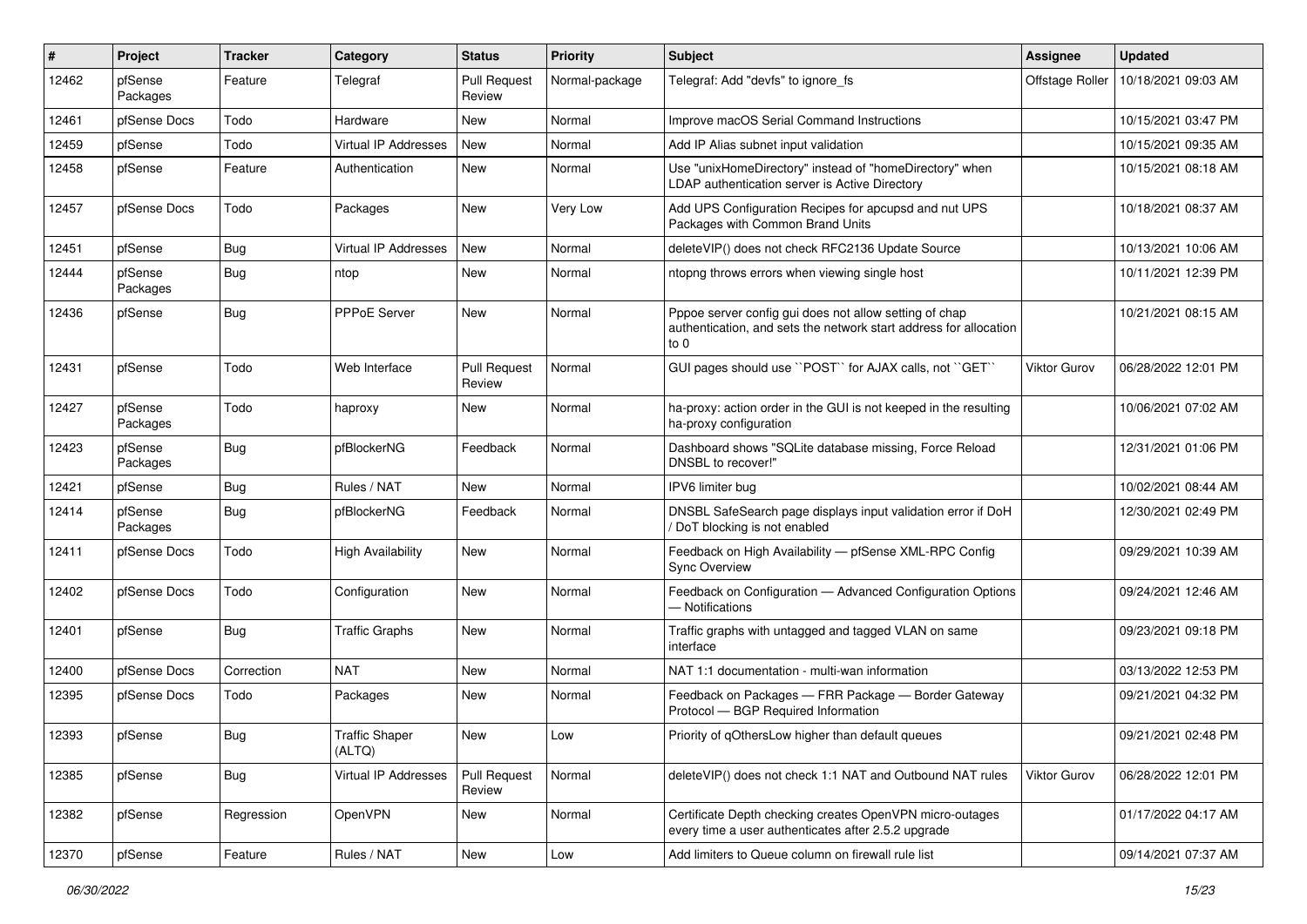| #     | Project             | <b>Tracker</b> | Category                        | <b>Status</b>                 | <b>Priority</b> | Subject                                                                                                                             | Assignee            | <b>Updated</b>      |
|-------|---------------------|----------------|---------------------------------|-------------------------------|-----------------|-------------------------------------------------------------------------------------------------------------------------------------|---------------------|---------------------|
| 12462 | pfSense<br>Packages | Feature        | Telegraf                        | <b>Pull Request</b><br>Review | Normal-package  | Telegraf: Add "devfs" to ignore fs                                                                                                  | Offstage Roller     | 10/18/2021 09:03 AM |
| 12461 | pfSense Docs        | Todo           | Hardware                        | <b>New</b>                    | Normal          | Improve macOS Serial Command Instructions                                                                                           |                     | 10/15/2021 03:47 PM |
| 12459 | pfSense             | Todo           | Virtual IP Addresses            | New                           | Normal          | Add IP Alias subnet input validation                                                                                                |                     | 10/15/2021 09:35 AM |
| 12458 | pfSense             | Feature        | Authentication                  | New                           | Normal          | Use "unixHomeDirectory" instead of "homeDirectory" when<br>LDAP authentication server is Active Directory                           |                     | 10/15/2021 08:18 AM |
| 12457 | pfSense Docs        | Todo           | Packages                        | <b>New</b>                    | Very Low        | Add UPS Configuration Recipes for apcupsd and nut UPS<br>Packages with Common Brand Units                                           |                     | 10/18/2021 08:37 AM |
| 12451 | pfSense             | <b>Bug</b>     | Virtual IP Addresses            | New                           | Normal          | deleteVIP() does not check RFC2136 Update Source                                                                                    |                     | 10/13/2021 10:06 AM |
| 12444 | pfSense<br>Packages | <b>Bug</b>     | ntop                            | New                           | Normal          | ntopng throws errors when viewing single host                                                                                       |                     | 10/11/2021 12:39 PM |
| 12436 | pfSense             | <b>Bug</b>     | PPPoE Server                    | <b>New</b>                    | Normal          | Pppoe server config gui does not allow setting of chap<br>authentication, and sets the network start address for allocation<br>to 0 |                     | 10/21/2021 08:15 AM |
| 12431 | pfSense             | Todo           | Web Interface                   | <b>Pull Request</b><br>Review | Normal          | GUI pages should use "POST" for AJAX calls, not "GET"                                                                               | <b>Viktor Gurov</b> | 06/28/2022 12:01 PM |
| 12427 | pfSense<br>Packages | Todo           | haproxy                         | New                           | Normal          | ha-proxy: action order in the GUI is not keeped in the resulting<br>ha-proxy configuration                                          |                     | 10/06/2021 07:02 AM |
| 12423 | pfSense<br>Packages | <b>Bug</b>     | pfBlockerNG                     | Feedback                      | Normal          | Dashboard shows "SQLite database missing, Force Reload<br>DNSBL to recover!"                                                        |                     | 12/31/2021 01:06 PM |
| 12421 | pfSense             | <b>Bug</b>     | Rules / NAT                     | <b>New</b>                    | Normal          | IPV6 limiter bug                                                                                                                    |                     | 10/02/2021 08:44 AM |
| 12414 | pfSense<br>Packages | Bug            | pfBlockerNG                     | Feedback                      | Normal          | DNSBL SafeSearch page displays input validation error if DoH<br>/ DoT blocking is not enabled                                       |                     | 12/30/2021 02:49 PM |
| 12411 | pfSense Docs        | Todo           | <b>High Availability</b>        | <b>New</b>                    | Normal          | Feedback on High Availability - pfSense XML-RPC Config<br><b>Sync Overview</b>                                                      |                     | 09/29/2021 10:39 AM |
| 12402 | pfSense Docs        | Todo           | Configuration                   | <b>New</b>                    | Normal          | Feedback on Configuration - Advanced Configuration Options<br>- Notifications                                                       |                     | 09/24/2021 12:46 AM |
| 12401 | pfSense             | Bug            | <b>Traffic Graphs</b>           | <b>New</b>                    | Normal          | Traffic graphs with untagged and tagged VLAN on same<br>interface                                                                   |                     | 09/23/2021 09:18 PM |
| 12400 | pfSense Docs        | Correction     | <b>NAT</b>                      | <b>New</b>                    | Normal          | NAT 1:1 documentation - multi-wan information                                                                                       |                     | 03/13/2022 12:53 PM |
| 12395 | pfSense Docs        | Todo           | Packages                        | New                           | Normal          | Feedback on Packages - FRR Package - Border Gateway<br>Protocol - BGP Required Information                                          |                     | 09/21/2021 04:32 PM |
| 12393 | pfSense             | Bug            | <b>Traffic Shaper</b><br>(ALTQ) | New                           | Low             | Priority of qOthersLow higher than default queues                                                                                   |                     | 09/21/2021 02:48 PM |
| 12385 | pfSense             | <b>Bug</b>     | Virtual IP Addresses            | <b>Pull Request</b><br>Review | Normal          | deleteVIP() does not check 1:1 NAT and Outbound NAT rules                                                                           | Viktor Gurov        | 06/28/2022 12:01 PM |
| 12382 | pfSense             | Regression     | OpenVPN                         | New                           | Normal          | Certificate Depth checking creates OpenVPN micro-outages<br>every time a user authenticates after 2.5.2 upgrade                     |                     | 01/17/2022 04:17 AM |
| 12370 | pfSense             | Feature        | Rules / NAT                     | New                           | Low             | Add limiters to Queue column on firewall rule list                                                                                  |                     | 09/14/2021 07:37 AM |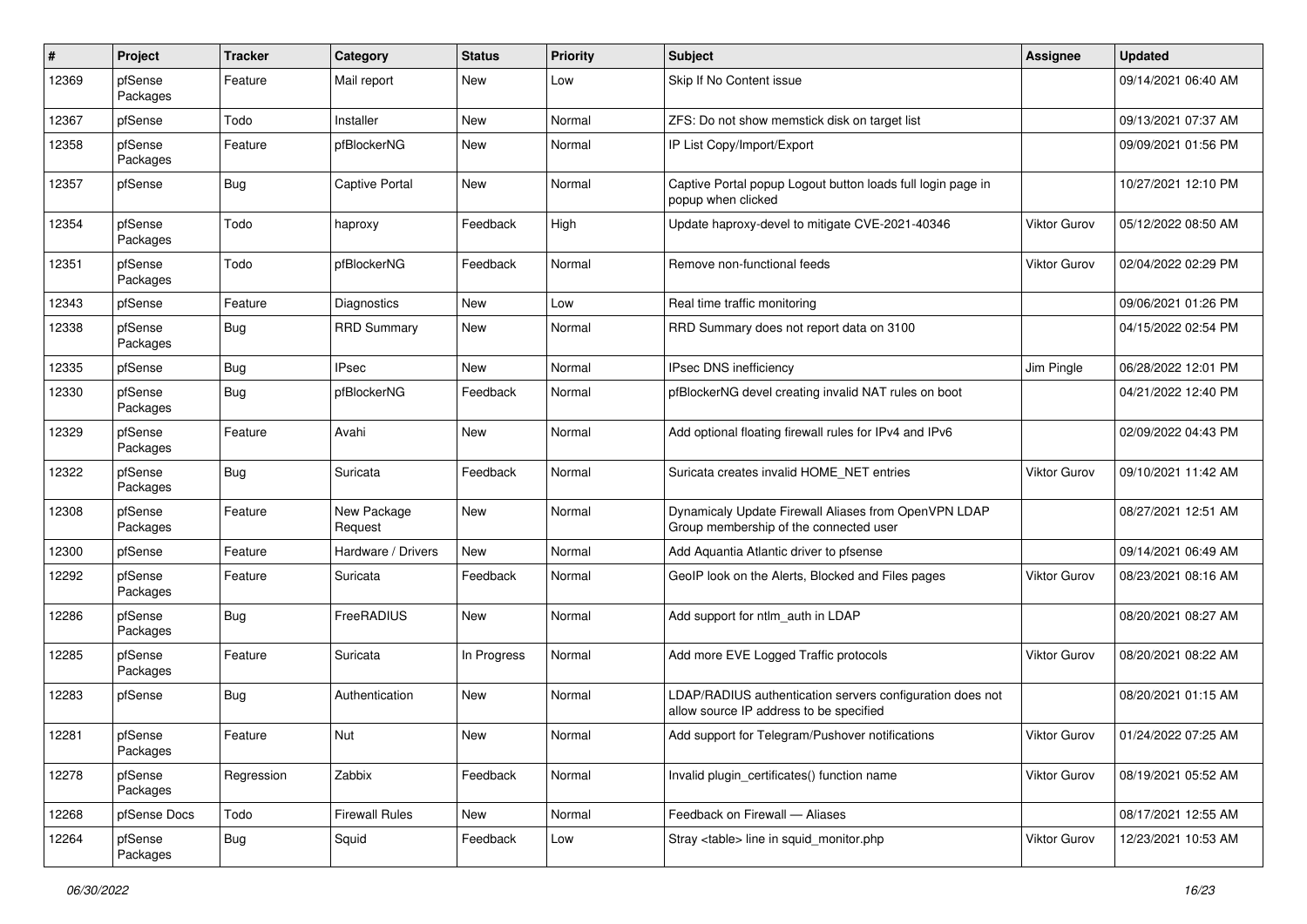| #     | Project             | <b>Tracker</b> | Category               | <b>Status</b> | <b>Priority</b> | Subject                                                                                              | Assignee            | <b>Updated</b>      |
|-------|---------------------|----------------|------------------------|---------------|-----------------|------------------------------------------------------------------------------------------------------|---------------------|---------------------|
| 12369 | pfSense<br>Packages | Feature        | Mail report            | New           | Low             | Skip If No Content issue                                                                             |                     | 09/14/2021 06:40 AM |
| 12367 | pfSense             | Todo           | Installer              | New           | Normal          | ZFS: Do not show memstick disk on target list                                                        |                     | 09/13/2021 07:37 AM |
| 12358 | pfSense<br>Packages | Feature        | pfBlockerNG            | New           | Normal          | IP List Copy/Import/Export                                                                           |                     | 09/09/2021 01:56 PM |
| 12357 | pfSense             | <b>Bug</b>     | <b>Captive Portal</b>  | <b>New</b>    | Normal          | Captive Portal popup Logout button loads full login page in<br>popup when clicked                    |                     | 10/27/2021 12:10 PM |
| 12354 | pfSense<br>Packages | Todo           | haproxy                | Feedback      | High            | Update haproxy-devel to mitigate CVE-2021-40346                                                      | <b>Viktor Gurov</b> | 05/12/2022 08:50 AM |
| 12351 | pfSense<br>Packages | Todo           | pfBlockerNG            | Feedback      | Normal          | Remove non-functional feeds                                                                          | Viktor Gurov        | 02/04/2022 02:29 PM |
| 12343 | pfSense             | Feature        | Diagnostics            | <b>New</b>    | Low             | Real time traffic monitoring                                                                         |                     | 09/06/2021 01:26 PM |
| 12338 | pfSense<br>Packages | <b>Bug</b>     | <b>RRD Summary</b>     | <b>New</b>    | Normal          | RRD Summary does not report data on 3100                                                             |                     | 04/15/2022 02:54 PM |
| 12335 | pfSense             | <b>Bug</b>     | <b>IPsec</b>           | <b>New</b>    | Normal          | IPsec DNS inefficiency                                                                               | Jim Pingle          | 06/28/2022 12:01 PM |
| 12330 | pfSense<br>Packages | <b>Bug</b>     | pfBlockerNG            | Feedback      | Normal          | pfBlockerNG devel creating invalid NAT rules on boot                                                 |                     | 04/21/2022 12:40 PM |
| 12329 | pfSense<br>Packages | Feature        | Avahi                  | <b>New</b>    | Normal          | Add optional floating firewall rules for IPv4 and IPv6                                               |                     | 02/09/2022 04:43 PM |
| 12322 | pfSense<br>Packages | <b>Bug</b>     | Suricata               | Feedback      | Normal          | Suricata creates invalid HOME NET entries                                                            | Viktor Gurov        | 09/10/2021 11:42 AM |
| 12308 | pfSense<br>Packages | Feature        | New Package<br>Request | New           | Normal          | Dynamicaly Update Firewall Aliases from OpenVPN LDAP<br>Group membership of the connected user       |                     | 08/27/2021 12:51 AM |
| 12300 | pfSense             | Feature        | Hardware / Drivers     | New           | Normal          | Add Aquantia Atlantic driver to pfsense                                                              |                     | 09/14/2021 06:49 AM |
| 12292 | pfSense<br>Packages | Feature        | Suricata               | Feedback      | Normal          | GeoIP look on the Alerts, Blocked and Files pages                                                    | Viktor Gurov        | 08/23/2021 08:16 AM |
| 12286 | pfSense<br>Packages | <b>Bug</b>     | FreeRADIUS             | <b>New</b>    | Normal          | Add support for ntlm_auth in LDAP                                                                    |                     | 08/20/2021 08:27 AM |
| 12285 | pfSense<br>Packages | Feature        | Suricata               | In Progress   | Normal          | Add more EVE Logged Traffic protocols                                                                | Viktor Gurov        | 08/20/2021 08:22 AM |
| 12283 | pfSense             | <b>Bug</b>     | Authentication         | New           | Normal          | LDAP/RADIUS authentication servers configuration does not<br>allow source IP address to be specified |                     | 08/20/2021 01:15 AM |
| 12281 | pfSense<br>Packages | Feature        | Nut                    | New           | Normal          | Add support for Telegram/Pushover notifications                                                      | Viktor Gurov        | 01/24/2022 07:25 AM |
| 12278 | pfSense<br>Packages | Regression     | Zabbix                 | Feedback      | Normal          | Invalid plugin certificates() function name                                                          | <b>Viktor Gurov</b> | 08/19/2021 05:52 AM |
| 12268 | pfSense Docs        | Todo           | <b>Firewall Rules</b>  | New           | Normal          | Feedback on Firewall - Aliases                                                                       |                     | 08/17/2021 12:55 AM |
| 12264 | pfSense<br>Packages | Bug            | Squid                  | Feedback      | Low             | Stray <table> line in squid monitor.php</table>                                                      | Viktor Gurov        | 12/23/2021 10:53 AM |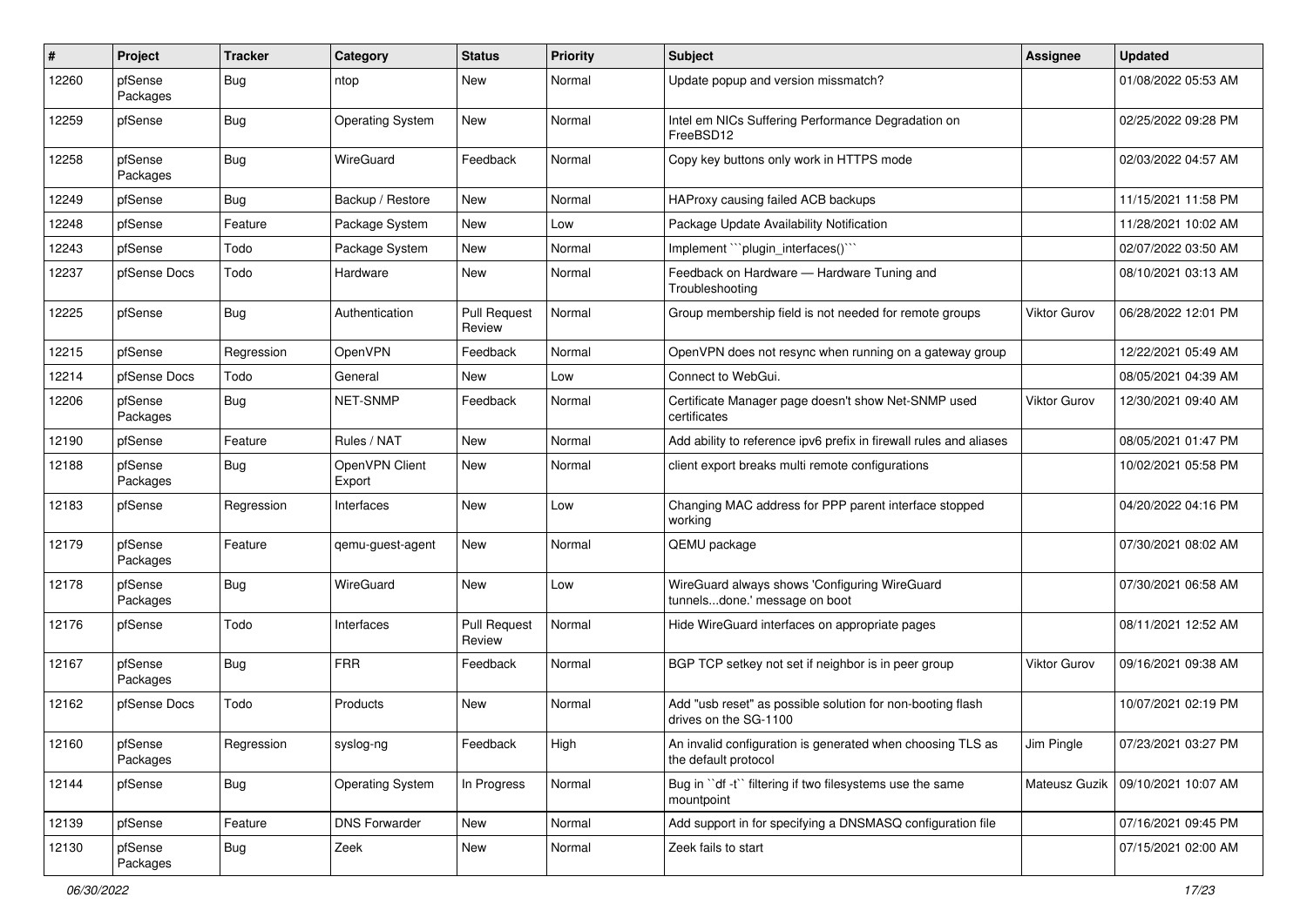| ∦     | Project             | <b>Tracker</b> | Category                 | <b>Status</b>                 | <b>Priority</b> | <b>Subject</b>                                                                      | Assignee            | <b>Updated</b>      |
|-------|---------------------|----------------|--------------------------|-------------------------------|-----------------|-------------------------------------------------------------------------------------|---------------------|---------------------|
| 12260 | pfSense<br>Packages | <b>Bug</b>     | ntop                     | New                           | Normal          | Update popup and version missmatch?                                                 |                     | 01/08/2022 05:53 AM |
| 12259 | pfSense             | <b>Bug</b>     | <b>Operating System</b>  | New                           | Normal          | Intel em NICs Suffering Performance Degradation on<br>FreeBSD12                     |                     | 02/25/2022 09:28 PM |
| 12258 | pfSense<br>Packages | <b>Bug</b>     | WireGuard                | Feedback                      | Normal          | Copy key buttons only work in HTTPS mode                                            |                     | 02/03/2022 04:57 AM |
| 12249 | pfSense             | Bug            | Backup / Restore         | New                           | Normal          | HAProxy causing failed ACB backups                                                  |                     | 11/15/2021 11:58 PM |
| 12248 | pfSense             | Feature        | Package System           | New                           | Low             | Package Update Availability Notification                                            |                     | 11/28/2021 10:02 AM |
| 12243 | pfSense             | Todo           | Package System           | New                           | Normal          | Implement "`plugin_interfaces()`"                                                   |                     | 02/07/2022 03:50 AM |
| 12237 | pfSense Docs        | Todo           | Hardware                 | <b>New</b>                    | Normal          | Feedback on Hardware - Hardware Tuning and<br>Troubleshooting                       |                     | 08/10/2021 03:13 AM |
| 12225 | pfSense             | Bug            | Authentication           | <b>Pull Request</b><br>Review | Normal          | Group membership field is not needed for remote groups                              | Viktor Gurov        | 06/28/2022 12:01 PM |
| 12215 | pfSense             | Regression     | OpenVPN                  | Feedback                      | Normal          | OpenVPN does not resync when running on a gateway group                             |                     | 12/22/2021 05:49 AM |
| 12214 | pfSense Docs        | Todo           | General                  | New                           | Low             | Connect to WebGui.                                                                  |                     | 08/05/2021 04:39 AM |
| 12206 | pfSense<br>Packages | Bug            | <b>NET-SNMP</b>          | Feedback                      | Normal          | Certificate Manager page doesn't show Net-SNMP used<br>certificates                 | Viktor Gurov        | 12/30/2021 09:40 AM |
| 12190 | pfSense             | Feature        | Rules / NAT              | New                           | Normal          | Add ability to reference ipv6 prefix in firewall rules and aliases                  |                     | 08/05/2021 01:47 PM |
| 12188 | pfSense<br>Packages | Bug            | OpenVPN Client<br>Export | New                           | Normal          | client export breaks multi remote configurations                                    |                     | 10/02/2021 05:58 PM |
| 12183 | pfSense             | Regression     | Interfaces               | New                           | Low             | Changing MAC address for PPP parent interface stopped<br>working                    |                     | 04/20/2022 04:16 PM |
| 12179 | pfSense<br>Packages | Feature        | gemu-guest-agent         | New                           | Normal          | QEMU package                                                                        |                     | 07/30/2021 08:02 AM |
| 12178 | pfSense<br>Packages | Bug            | WireGuard                | <b>New</b>                    | Low             | WireGuard always shows 'Configuring WireGuard<br>tunnelsdone.' message on boot      |                     | 07/30/2021 06:58 AM |
| 12176 | pfSense             | Todo           | Interfaces               | <b>Pull Request</b><br>Review | Normal          | Hide WireGuard interfaces on appropriate pages                                      |                     | 08/11/2021 12:52 AM |
| 12167 | pfSense<br>Packages | Bug            | <b>FRR</b>               | Feedback                      | Normal          | BGP TCP setkey not set if neighbor is in peer group                                 | <b>Viktor Gurov</b> | 09/16/2021 09:38 AM |
| 12162 | pfSense Docs        | Todo           | Products                 | New                           | Normal          | Add "usb reset" as possible solution for non-booting flash<br>drives on the SG-1100 |                     | 10/07/2021 02:19 PM |
| 12160 | pfSense<br>Packages | Regression     | syslog-ng                | Feedback                      | High            | An invalid configuration is generated when choosing TLS as<br>the default protocol  | Jim Pingle          | 07/23/2021 03:27 PM |
| 12144 | pfSense             | <b>Bug</b>     | <b>Operating System</b>  | In Progress                   | Normal          | Bug in "df -t" filtering if two filesystems use the same<br>mountpoint              | Mateusz Guzik       | 09/10/2021 10:07 AM |
| 12139 | pfSense             | Feature        | <b>DNS Forwarder</b>     | New                           | Normal          | Add support in for specifying a DNSMASQ configuration file                          |                     | 07/16/2021 09:45 PM |
| 12130 | pfSense<br>Packages | <b>Bug</b>     | Zeek                     | New                           | Normal          | Zeek fails to start                                                                 |                     | 07/15/2021 02:00 AM |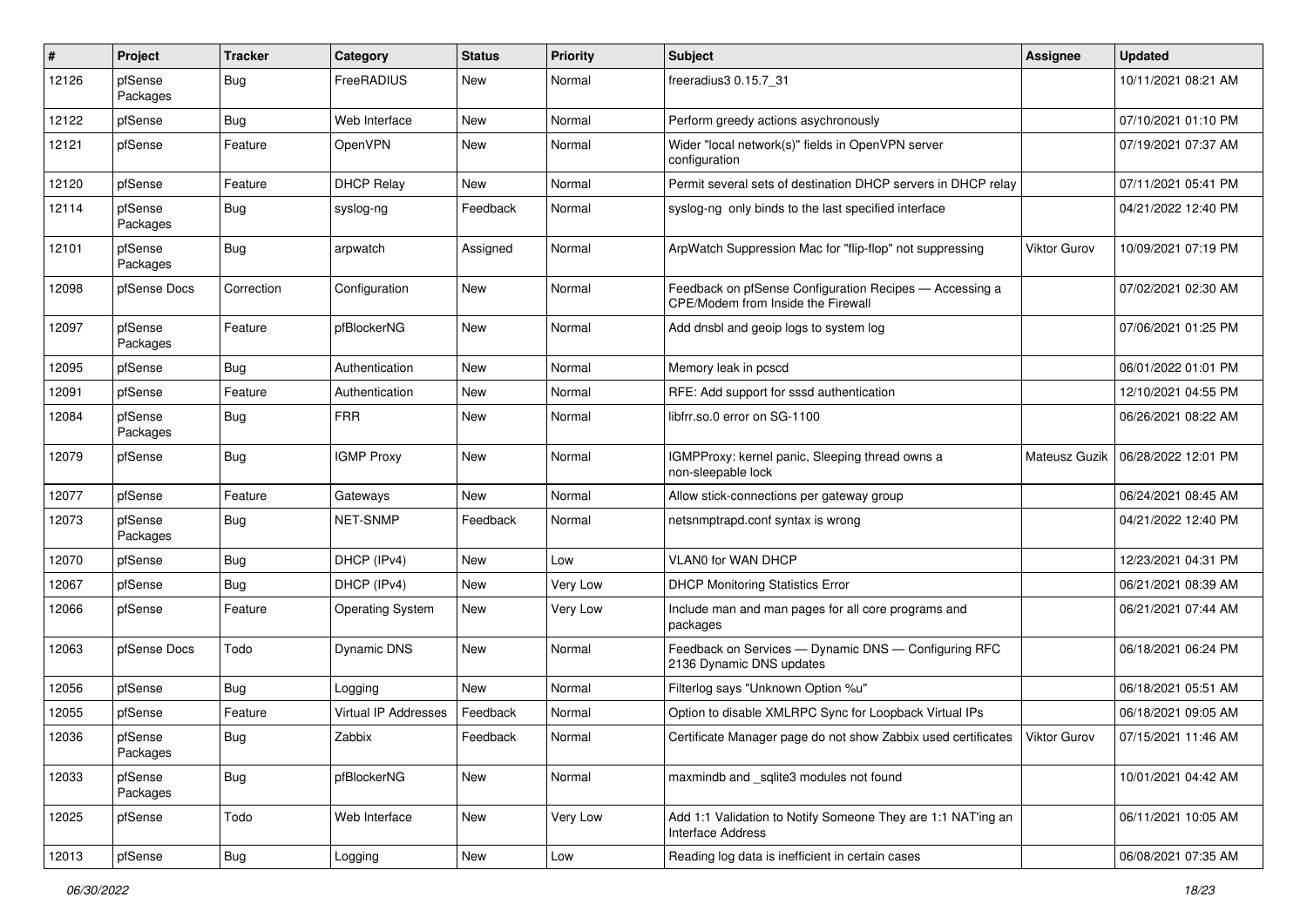| ∦     | Project             | <b>Tracker</b> | Category                | <b>Status</b> | <b>Priority</b> | <b>Subject</b>                                                                                | Assignee            | <b>Updated</b>      |
|-------|---------------------|----------------|-------------------------|---------------|-----------------|-----------------------------------------------------------------------------------------------|---------------------|---------------------|
| 12126 | pfSense<br>Packages | Bug            | FreeRADIUS              | New           | Normal          | freeradius3 0.15.7_31                                                                         |                     | 10/11/2021 08:21 AM |
| 12122 | pfSense             | Bug            | Web Interface           | New           | Normal          | Perform greedy actions asychronously                                                          |                     | 07/10/2021 01:10 PM |
| 12121 | pfSense             | Feature        | OpenVPN                 | New           | Normal          | Wider "local network(s)" fields in OpenVPN server<br>configuration                            |                     | 07/19/2021 07:37 AM |
| 12120 | pfSense             | Feature        | <b>DHCP Relay</b>       | <b>New</b>    | Normal          | Permit several sets of destination DHCP servers in DHCP relay                                 |                     | 07/11/2021 05:41 PM |
| 12114 | pfSense<br>Packages | Bug            | syslog-ng               | Feedback      | Normal          | syslog-ng only binds to the last specified interface                                          |                     | 04/21/2022 12:40 PM |
| 12101 | pfSense<br>Packages | Bug            | arpwatch                | Assigned      | Normal          | ArpWatch Suppression Mac for "flip-flop" not suppressing                                      | <b>Viktor Gurov</b> | 10/09/2021 07:19 PM |
| 12098 | pfSense Docs        | Correction     | Configuration           | New           | Normal          | Feedback on pfSense Configuration Recipes - Accessing a<br>CPE/Modem from Inside the Firewall |                     | 07/02/2021 02:30 AM |
| 12097 | pfSense<br>Packages | Feature        | pfBlockerNG             | New           | Normal          | Add dnsbl and geoip logs to system log                                                        |                     | 07/06/2021 01:25 PM |
| 12095 | pfSense             | Bug            | Authentication          | New           | Normal          | Memory leak in pcscd                                                                          |                     | 06/01/2022 01:01 PM |
| 12091 | pfSense             | Feature        | Authentication          | New           | Normal          | RFE: Add support for sssd authentication                                                      |                     | 12/10/2021 04:55 PM |
| 12084 | pfSense<br>Packages | <b>Bug</b>     | <b>FRR</b>              | New           | Normal          | libfrr.so.0 error on SG-1100                                                                  |                     | 06/26/2021 08:22 AM |
| 12079 | pfSense             | <b>Bug</b>     | <b>IGMP Proxy</b>       | New           | Normal          | IGMPProxy: kernel panic, Sleeping thread owns a<br>non-sleepable lock                         | Mateusz Guzik       | 06/28/2022 12:01 PM |
| 12077 | pfSense             | Feature        | Gateways                | <b>New</b>    | Normal          | Allow stick-connections per gateway group                                                     |                     | 06/24/2021 08:45 AM |
| 12073 | pfSense<br>Packages | Bug            | NET-SNMP                | Feedback      | Normal          | netsnmptrapd.conf syntax is wrong                                                             |                     | 04/21/2022 12:40 PM |
| 12070 | pfSense             | Bug            | DHCP (IPv4)             | New           | Low             | VLAN0 for WAN DHCP                                                                            |                     | 12/23/2021 04:31 PM |
| 12067 | pfSense             | Bug            | DHCP (IPv4)             | New           | Very Low        | <b>DHCP Monitoring Statistics Error</b>                                                       |                     | 06/21/2021 08:39 AM |
| 12066 | pfSense             | Feature        | <b>Operating System</b> | New           | Very Low        | Include man and man pages for all core programs and<br>packages                               |                     | 06/21/2021 07:44 AM |
| 12063 | pfSense Docs        | Todo           | <b>Dynamic DNS</b>      | New           | Normal          | Feedback on Services - Dynamic DNS - Configuring RFC<br>2136 Dynamic DNS updates              |                     | 06/18/2021 06:24 PM |
| 12056 | pfSense             | Bug            | Logging                 | New           | Normal          | Filterlog says "Unknown Option %u"                                                            |                     | 06/18/2021 05:51 AM |
| 12055 | pfSense             | Feature        | Virtual IP Addresses    | Feedback      | Normal          | Option to disable XMLRPC Sync for Loopback Virtual IPs                                        |                     | 06/18/2021 09:05 AM |
| 12036 | pfSense<br>Packages | Bug            | Zabbix                  | Feedback      | Normal          | Certificate Manager page do not show Zabbix used certificates   Viktor Gurov                  |                     | 07/15/2021 11:46 AM |
| 12033 | pfSense<br>Packages | <b>Bug</b>     | pfBlockerNG             | New           | Normal          | maxmindb and _sqlite3 modules not found                                                       |                     | 10/01/2021 04:42 AM |
| 12025 | pfSense             | Todo           | Web Interface           | New           | Very Low        | Add 1:1 Validation to Notify Someone They are 1:1 NAT'ing an<br>Interface Address             |                     | 06/11/2021 10:05 AM |
| 12013 | pfSense             | Bug            | Logging                 | New           | Low             | Reading log data is inefficient in certain cases                                              |                     | 06/08/2021 07:35 AM |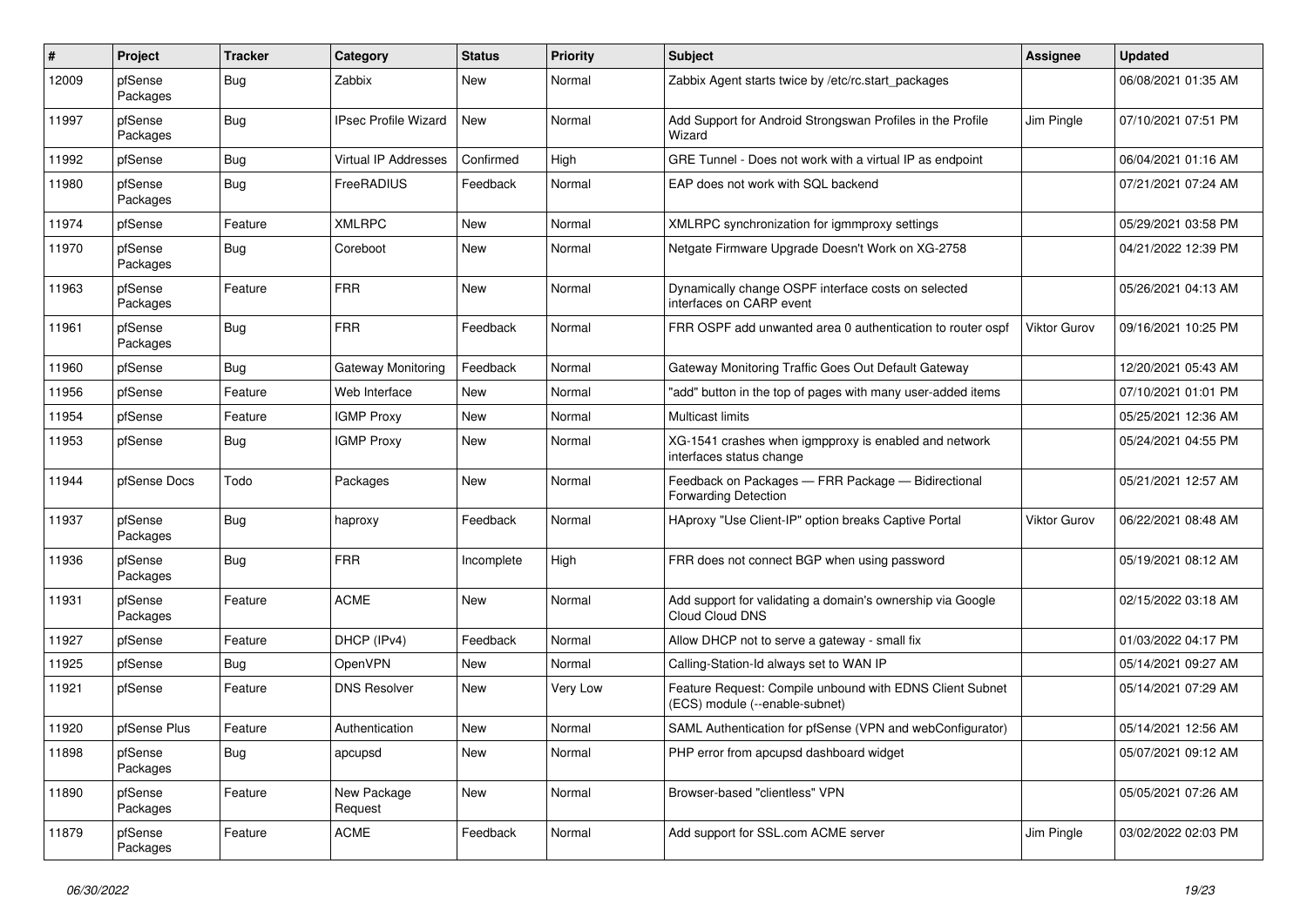| #     | Project             | <b>Tracker</b> | Category                    | <b>Status</b> | <b>Priority</b> | <b>Subject</b>                                                                             | Assignee            | <b>Updated</b>      |
|-------|---------------------|----------------|-----------------------------|---------------|-----------------|--------------------------------------------------------------------------------------------|---------------------|---------------------|
| 12009 | pfSense<br>Packages | <b>Bug</b>     | Zabbix                      | <b>New</b>    | Normal          | Zabbix Agent starts twice by /etc/rc.start_packages                                        |                     | 06/08/2021 01:35 AM |
| 11997 | pfSense<br>Packages | Bug            | <b>IPsec Profile Wizard</b> | New           | Normal          | Add Support for Android Strongswan Profiles in the Profile<br>Wizard                       | Jim Pingle          | 07/10/2021 07:51 PM |
| 11992 | pfSense             | <b>Bug</b>     | <b>Virtual IP Addresses</b> | Confirmed     | High            | GRE Tunnel - Does not work with a virtual IP as endpoint                                   |                     | 06/04/2021 01:16 AM |
| 11980 | pfSense<br>Packages | Bug            | FreeRADIUS                  | Feedback      | Normal          | EAP does not work with SQL backend                                                         |                     | 07/21/2021 07:24 AM |
| 11974 | pfSense             | Feature        | <b>XMLRPC</b>               | <b>New</b>    | Normal          | XMLRPC synchronization for igmmproxy settings                                              |                     | 05/29/2021 03:58 PM |
| 11970 | pfSense<br>Packages | <b>Bug</b>     | Coreboot                    | New           | Normal          | Netgate Firmware Upgrade Doesn't Work on XG-2758                                           |                     | 04/21/2022 12:39 PM |
| 11963 | pfSense<br>Packages | Feature        | <b>FRR</b>                  | New           | Normal          | Dynamically change OSPF interface costs on selected<br>interfaces on CARP event            |                     | 05/26/2021 04:13 AM |
| 11961 | pfSense<br>Packages | <b>Bug</b>     | <b>FRR</b>                  | Feedback      | Normal          | FRR OSPF add unwanted area 0 authentication to router ospf                                 | Viktor Gurov        | 09/16/2021 10:25 PM |
| 11960 | pfSense             | Bug            | Gateway Monitoring          | Feedback      | Normal          | Gateway Monitoring Traffic Goes Out Default Gateway                                        |                     | 12/20/2021 05:43 AM |
| 11956 | pfSense             | Feature        | Web Interface               | <b>New</b>    | Normal          | "add" button in the top of pages with many user-added items                                |                     | 07/10/2021 01:01 PM |
| 11954 | pfSense             | Feature        | <b>IGMP Proxy</b>           | New           | Normal          | Multicast limits                                                                           |                     | 05/25/2021 12:36 AM |
| 11953 | pfSense             | <b>Bug</b>     | <b>IGMP Proxy</b>           | <b>New</b>    | Normal          | XG-1541 crashes when igmpproxy is enabled and network<br>interfaces status change          |                     | 05/24/2021 04:55 PM |
| 11944 | pfSense Docs        | Todo           | Packages                    | <b>New</b>    | Normal          | Feedback on Packages - FRR Package - Bidirectional<br><b>Forwarding Detection</b>          |                     | 05/21/2021 12:57 AM |
| 11937 | pfSense<br>Packages | Bug            | haproxy                     | Feedback      | Normal          | HAproxy "Use Client-IP" option breaks Captive Portal                                       | <b>Viktor Gurov</b> | 06/22/2021 08:48 AM |
| 11936 | pfSense<br>Packages | <b>Bug</b>     | <b>FRR</b>                  | Incomplete    | High            | FRR does not connect BGP when using password                                               |                     | 05/19/2021 08:12 AM |
| 11931 | pfSense<br>Packages | Feature        | <b>ACME</b>                 | <b>New</b>    | Normal          | Add support for validating a domain's ownership via Google<br>Cloud Cloud DNS              |                     | 02/15/2022 03:18 AM |
| 11927 | pfSense             | Feature        | DHCP (IPv4)                 | Feedback      | Normal          | Allow DHCP not to serve a gateway - small fix                                              |                     | 01/03/2022 04:17 PM |
| 11925 | pfSense             | <b>Bug</b>     | OpenVPN                     | <b>New</b>    | Normal          | Calling-Station-Id always set to WAN IP                                                    |                     | 05/14/2021 09:27 AM |
| 11921 | pfSense             | Feature        | <b>DNS Resolver</b>         | New           | Very Low        | Feature Request: Compile unbound with EDNS Client Subnet<br>(ECS) module (--enable-subnet) |                     | 05/14/2021 07:29 AM |
| 11920 | pfSense Plus        | Feature        | Authentication              | New           | Normal          | SAML Authentication for pfSense (VPN and webConfigurator)                                  |                     | 05/14/2021 12:56 AM |
| 11898 | pfSense<br>Packages | <b>Bug</b>     | apcupsd                     | New           | Normal          | PHP error from apcupsd dashboard widget                                                    |                     | 05/07/2021 09:12 AM |
| 11890 | pfSense<br>Packages | Feature        | New Package<br>Request      | New           | Normal          | Browser-based "clientless" VPN                                                             |                     | 05/05/2021 07:26 AM |
| 11879 | pfSense<br>Packages | Feature        | <b>ACME</b>                 | Feedback      | Normal          | Add support for SSL.com ACME server                                                        | Jim Pingle          | 03/02/2022 02:03 PM |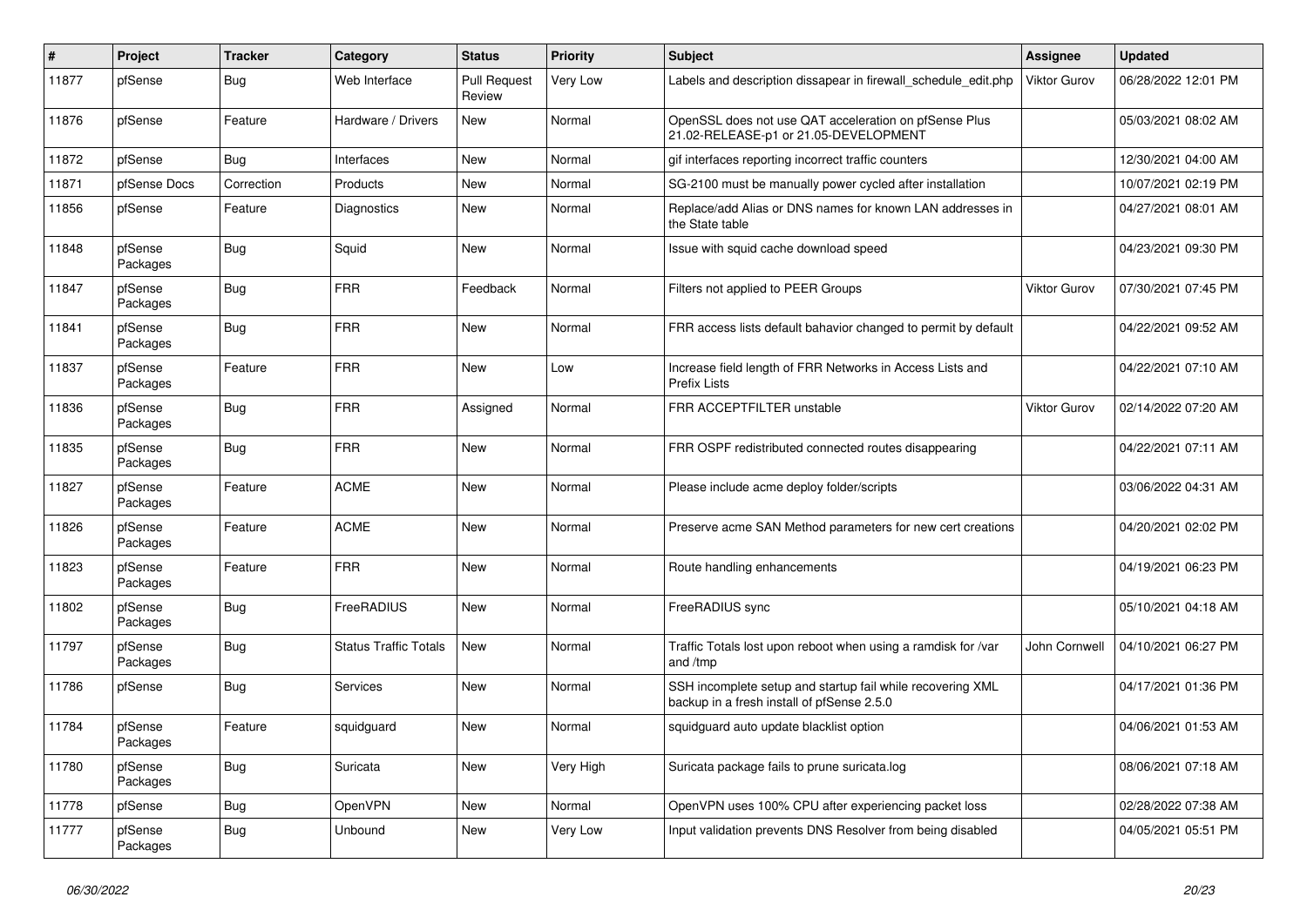| $\pmb{\#}$ | Project             | <b>Tracker</b> | Category                     | <b>Status</b>                 | <b>Priority</b> | <b>Subject</b>                                                                                           | <b>Assignee</b>     | <b>Updated</b>      |
|------------|---------------------|----------------|------------------------------|-------------------------------|-----------------|----------------------------------------------------------------------------------------------------------|---------------------|---------------------|
| 11877      | pfSense             | Bug            | Web Interface                | <b>Pull Request</b><br>Review | Very Low        | Labels and description dissapear in firewall schedule edit.php                                           | <b>Viktor Gurov</b> | 06/28/2022 12:01 PM |
| 11876      | pfSense             | Feature        | Hardware / Drivers           | New                           | Normal          | OpenSSL does not use QAT acceleration on pfSense Plus<br>21.02-RELEASE-p1 or 21.05-DEVELOPMENT           |                     | 05/03/2021 08:02 AM |
| 11872      | pfSense             | Bug            | Interfaces                   | <b>New</b>                    | Normal          | gif interfaces reporting incorrect traffic counters                                                      |                     | 12/30/2021 04:00 AM |
| 11871      | pfSense Docs        | Correction     | Products                     | <b>New</b>                    | Normal          | SG-2100 must be manually power cycled after installation                                                 |                     | 10/07/2021 02:19 PM |
| 11856      | pfSense             | Feature        | <b>Diagnostics</b>           | <b>New</b>                    | Normal          | Replace/add Alias or DNS names for known LAN addresses in<br>the State table                             |                     | 04/27/2021 08:01 AM |
| 11848      | pfSense<br>Packages | Bug            | Squid                        | <b>New</b>                    | Normal          | Issue with squid cache download speed                                                                    |                     | 04/23/2021 09:30 PM |
| 11847      | pfSense<br>Packages | Bug            | <b>FRR</b>                   | Feedback                      | Normal          | Filters not applied to PEER Groups                                                                       | Viktor Gurov        | 07/30/2021 07:45 PM |
| 11841      | pfSense<br>Packages | <b>Bug</b>     | <b>FRR</b>                   | <b>New</b>                    | Normal          | FRR access lists default bahavior changed to permit by default                                           |                     | 04/22/2021 09:52 AM |
| 11837      | pfSense<br>Packages | Feature        | <b>FRR</b>                   | New                           | Low             | Increase field length of FRR Networks in Access Lists and<br>Prefix Lists                                |                     | 04/22/2021 07:10 AM |
| 11836      | pfSense<br>Packages | Bug            | <b>FRR</b>                   | Assigned                      | Normal          | FRR ACCEPTFILTER unstable                                                                                | <b>Viktor Gurov</b> | 02/14/2022 07:20 AM |
| 11835      | pfSense<br>Packages | <b>Bug</b>     | <b>FRR</b>                   | <b>New</b>                    | Normal          | FRR OSPF redistributed connected routes disappearing                                                     |                     | 04/22/2021 07:11 AM |
| 11827      | pfSense<br>Packages | Feature        | <b>ACME</b>                  | New                           | Normal          | Please include acme deploy folder/scripts                                                                |                     | 03/06/2022 04:31 AM |
| 11826      | pfSense<br>Packages | Feature        | <b>ACME</b>                  | <b>New</b>                    | Normal          | Preserve acme SAN Method parameters for new cert creations                                               |                     | 04/20/2021 02:02 PM |
| 11823      | pfSense<br>Packages | Feature        | <b>FRR</b>                   | <b>New</b>                    | Normal          | Route handling enhancements                                                                              |                     | 04/19/2021 06:23 PM |
| 11802      | pfSense<br>Packages | Bug            | FreeRADIUS                   | <b>New</b>                    | Normal          | FreeRADIUS sync                                                                                          |                     | 05/10/2021 04:18 AM |
| 11797      | pfSense<br>Packages | <b>Bug</b>     | <b>Status Traffic Totals</b> | New                           | Normal          | Traffic Totals lost upon reboot when using a ramdisk for /var<br>and /tmp                                | John Cornwell       | 04/10/2021 06:27 PM |
| 11786      | pfSense             | <b>Bug</b>     | <b>Services</b>              | <b>New</b>                    | Normal          | SSH incomplete setup and startup fail while recovering XML<br>backup in a fresh install of pfSense 2.5.0 |                     | 04/17/2021 01:36 PM |
| 11784      | pfSense<br>Packages | Feature        | squidguard                   | New                           | Normal          | squidguard auto update blacklist option                                                                  |                     | 04/06/2021 01:53 AM |
| 11780      | pfSense<br>Packages | Bug            | Suricata                     | <b>New</b>                    | Very High       | Suricata package fails to prune suricata.log                                                             |                     | 08/06/2021 07:18 AM |
| 11778      | pfSense             | <b>Bug</b>     | <b>OpenVPN</b>               | <b>New</b>                    | Normal          | OpenVPN uses 100% CPU after experiencing packet loss                                                     |                     | 02/28/2022 07:38 AM |
| 11777      | pfSense<br>Packages | Bug            | Unbound                      | <b>New</b>                    | Very Low        | Input validation prevents DNS Resolver from being disabled                                               |                     | 04/05/2021 05:51 PM |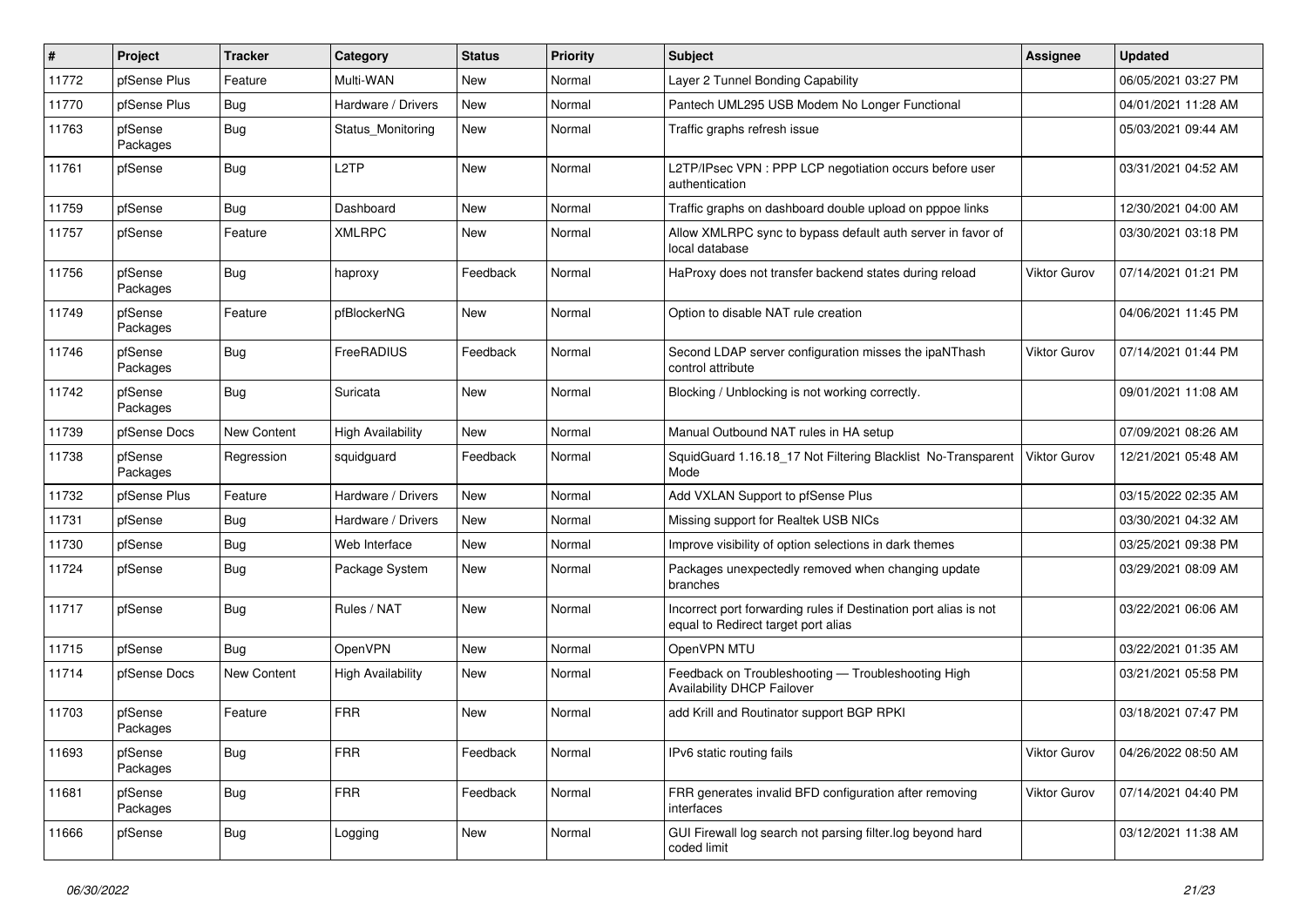| $\vert$ # | Project             | <b>Tracker</b> | Category                 | <b>Status</b> | <b>Priority</b> | Subject                                                                                                 | <b>Assignee</b>     | <b>Updated</b>      |
|-----------|---------------------|----------------|--------------------------|---------------|-----------------|---------------------------------------------------------------------------------------------------------|---------------------|---------------------|
| 11772     | pfSense Plus        | Feature        | Multi-WAN                | New           | Normal          | Layer 2 Tunnel Bonding Capability                                                                       |                     | 06/05/2021 03:27 PM |
| 11770     | pfSense Plus        | <b>Bug</b>     | Hardware / Drivers       | <b>New</b>    | Normal          | Pantech UML295 USB Modem No Longer Functional                                                           |                     | 04/01/2021 11:28 AM |
| 11763     | pfSense<br>Packages | <b>Bug</b>     | Status_Monitoring        | New           | Normal          | Traffic graphs refresh issue                                                                            |                     | 05/03/2021 09:44 AM |
| 11761     | pfSense             | Bug            | L <sub>2</sub> TP        | New           | Normal          | L2TP/IPsec VPN : PPP LCP negotiation occurs before user<br>authentication                               |                     | 03/31/2021 04:52 AM |
| 11759     | pfSense             | <b>Bug</b>     | Dashboard                | New           | Normal          | Traffic graphs on dashboard double upload on pppoe links                                                |                     | 12/30/2021 04:00 AM |
| 11757     | pfSense             | Feature        | <b>XMLRPC</b>            | New           | Normal          | Allow XMLRPC sync to bypass default auth server in favor of<br>local database                           |                     | 03/30/2021 03:18 PM |
| 11756     | pfSense<br>Packages | <b>Bug</b>     | haproxy                  | Feedback      | Normal          | HaProxy does not transfer backend states during reload                                                  | <b>Viktor Gurov</b> | 07/14/2021 01:21 PM |
| 11749     | pfSense<br>Packages | Feature        | pfBlockerNG              | New           | Normal          | Option to disable NAT rule creation                                                                     |                     | 04/06/2021 11:45 PM |
| 11746     | pfSense<br>Packages | Bug            | FreeRADIUS               | Feedback      | Normal          | Second LDAP server configuration misses the ipaNThash<br>control attribute                              | <b>Viktor Gurov</b> | 07/14/2021 01:44 PM |
| 11742     | pfSense<br>Packages | Bug            | Suricata                 | New           | Normal          | Blocking / Unblocking is not working correctly.                                                         |                     | 09/01/2021 11:08 AM |
| 11739     | pfSense Docs        | New Content    | <b>High Availability</b> | New           | Normal          | Manual Outbound NAT rules in HA setup                                                                   |                     | 07/09/2021 08:26 AM |
| 11738     | pfSense<br>Packages | Regression     | squidguard               | Feedback      | Normal          | SquidGuard 1.16.18 17 Not Filtering Blacklist No-Transparent<br>Mode                                    | Viktor Gurov        | 12/21/2021 05:48 AM |
| 11732     | pfSense Plus        | Feature        | Hardware / Drivers       | <b>New</b>    | Normal          | Add VXLAN Support to pfSense Plus                                                                       |                     | 03/15/2022 02:35 AM |
| 11731     | pfSense             | <b>Bug</b>     | Hardware / Drivers       | New           | Normal          | Missing support for Realtek USB NICs                                                                    |                     | 03/30/2021 04:32 AM |
| 11730     | pfSense             | <b>Bug</b>     | Web Interface            | New           | Normal          | Improve visibility of option selections in dark themes                                                  |                     | 03/25/2021 09:38 PM |
| 11724     | pfSense             | Bug            | Package System           | New           | Normal          | Packages unexpectedly removed when changing update<br>branches                                          |                     | 03/29/2021 08:09 AM |
| 11717     | pfSense             | <b>Bug</b>     | Rules / NAT              | New           | Normal          | Incorrect port forwarding rules if Destination port alias is not<br>equal to Redirect target port alias |                     | 03/22/2021 06:06 AM |
| 11715     | pfSense             | Bug            | OpenVPN                  | New           | Normal          | OpenVPN MTU                                                                                             |                     | 03/22/2021 01:35 AM |
| 11714     | pfSense Docs        | New Content    | <b>High Availability</b> | New           | Normal          | Feedback on Troubleshooting - Troubleshooting High<br>Availability DHCP Failover                        |                     | 03/21/2021 05:58 PM |
| 11703     | pfSense<br>Packages | Feature        | <b>FRR</b>               | <b>New</b>    | Normal          | add Krill and Routinator support BGP RPKI                                                               |                     | 03/18/2021 07:47 PM |
| 11693     | pfSense<br>Packages | <b>Bug</b>     | <b>FRR</b>               | Feedback      | Normal          | IPv6 static routing fails                                                                               | Viktor Gurov        | 04/26/2022 08:50 AM |
| 11681     | pfSense<br>Packages | <b>Bug</b>     | <b>FRR</b>               | Feedback      | Normal          | FRR generates invalid BFD configuration after removing<br>interfaces                                    | Viktor Gurov        | 07/14/2021 04:40 PM |
| 11666     | pfSense             | <b>Bug</b>     | Logging                  | New           | Normal          | GUI Firewall log search not parsing filter.log beyond hard<br>coded limit                               |                     | 03/12/2021 11:38 AM |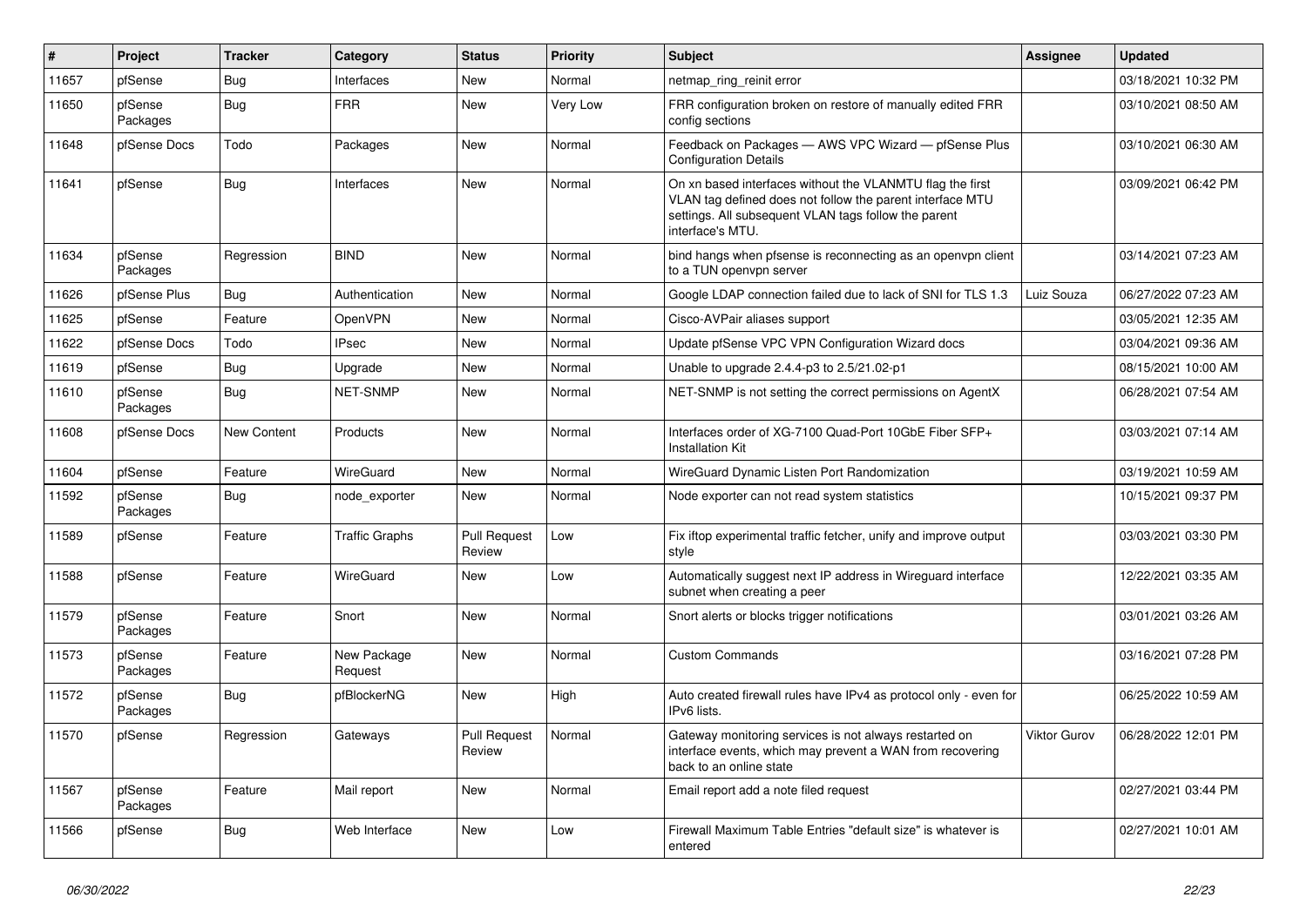| $\#$  | Project             | <b>Tracker</b>     | Category               | <b>Status</b>                 | Priority | <b>Subject</b>                                                                                                                                                                                     | Assignee            | <b>Updated</b>      |
|-------|---------------------|--------------------|------------------------|-------------------------------|----------|----------------------------------------------------------------------------------------------------------------------------------------------------------------------------------------------------|---------------------|---------------------|
| 11657 | pfSense             | Bug                | Interfaces             | <b>New</b>                    | Normal   | netmap ring reinit error                                                                                                                                                                           |                     | 03/18/2021 10:32 PM |
| 11650 | pfSense<br>Packages | <b>Bug</b>         | <b>FRR</b>             | New                           | Very Low | FRR configuration broken on restore of manually edited FRR<br>config sections                                                                                                                      |                     | 03/10/2021 08:50 AM |
| 11648 | pfSense Docs        | Todo               | Packages               | New                           | Normal   | Feedback on Packages - AWS VPC Wizard - pfSense Plus<br><b>Configuration Details</b>                                                                                                               |                     | 03/10/2021 06:30 AM |
| 11641 | pfSense             | Bug                | Interfaces             | <b>New</b>                    | Normal   | On xn based interfaces without the VLANMTU flag the first<br>VLAN tag defined does not follow the parent interface MTU<br>settings. All subsequent VLAN tags follow the parent<br>interface's MTU. |                     | 03/09/2021 06:42 PM |
| 11634 | pfSense<br>Packages | Regression         | <b>BIND</b>            | <b>New</b>                    | Normal   | bind hangs when pfsense is reconnecting as an openvpn client<br>to a TUN openvpn server                                                                                                            |                     | 03/14/2021 07:23 AM |
| 11626 | pfSense Plus        | <b>Bug</b>         | Authentication         | <b>New</b>                    | Normal   | Google LDAP connection failed due to lack of SNI for TLS 1.3                                                                                                                                       | Luiz Souza          | 06/27/2022 07:23 AM |
| 11625 | pfSense             | Feature            | OpenVPN                | New                           | Normal   | Cisco-AVPair aliases support                                                                                                                                                                       |                     | 03/05/2021 12:35 AM |
| 11622 | pfSense Docs        | Todo               | <b>IPsec</b>           | New                           | Normal   | Update pfSense VPC VPN Configuration Wizard docs                                                                                                                                                   |                     | 03/04/2021 09:36 AM |
| 11619 | pfSense             | <b>Bug</b>         | Upgrade                | New                           | Normal   | Unable to upgrade 2.4.4-p3 to 2.5/21.02-p1                                                                                                                                                         |                     | 08/15/2021 10:00 AM |
| 11610 | pfSense<br>Packages | Bug                | NET-SNMP               | <b>New</b>                    | Normal   | NET-SNMP is not setting the correct permissions on AgentX                                                                                                                                          |                     | 06/28/2021 07:54 AM |
| 11608 | pfSense Docs        | <b>New Content</b> | Products               | <b>New</b>                    | Normal   | Interfaces order of XG-7100 Quad-Port 10GbE Fiber SFP+<br>Installation Kit                                                                                                                         |                     | 03/03/2021 07:14 AM |
| 11604 | pfSense             | Feature            | <b>WireGuard</b>       | <b>New</b>                    | Normal   | WireGuard Dynamic Listen Port Randomization                                                                                                                                                        |                     | 03/19/2021 10:59 AM |
| 11592 | pfSense<br>Packages | <b>Bug</b>         | node exporter          | <b>New</b>                    | Normal   | Node exporter can not read system statistics                                                                                                                                                       |                     | 10/15/2021 09:37 PM |
| 11589 | pfSense             | Feature            | <b>Traffic Graphs</b>  | <b>Pull Request</b><br>Review | Low      | Fix iftop experimental traffic fetcher, unify and improve output<br>style                                                                                                                          |                     | 03/03/2021 03:30 PM |
| 11588 | pfSense             | Feature            | WireGuard              | <b>New</b>                    | Low      | Automatically suggest next IP address in Wireguard interface<br>subnet when creating a peer                                                                                                        |                     | 12/22/2021 03:35 AM |
| 11579 | pfSense<br>Packages | Feature            | Snort                  | <b>New</b>                    | Normal   | Snort alerts or blocks trigger notifications                                                                                                                                                       |                     | 03/01/2021 03:26 AM |
| 11573 | pfSense<br>Packages | Feature            | New Package<br>Request | <b>New</b>                    | Normal   | <b>Custom Commands</b>                                                                                                                                                                             |                     | 03/16/2021 07:28 PM |
| 11572 | pfSense<br>Packages | Bug                | pfBlockerNG            | <b>New</b>                    | High     | Auto created firewall rules have IPv4 as protocol only - even for<br>IPv6 lists.                                                                                                                   |                     | 06/25/2022 10:59 AM |
| 11570 | pfSense             | Regression         | Gateways               | <b>Pull Request</b><br>Review | Normal   | Gateway monitoring services is not always restarted on<br>interface events, which may prevent a WAN from recovering<br>back to an online state                                                     | <b>Viktor Gurov</b> | 06/28/2022 12:01 PM |
| 11567 | pfSense<br>Packages | Feature            | Mail report            | New                           | Normal   | Email report add a note filed request                                                                                                                                                              |                     | 02/27/2021 03:44 PM |
| 11566 | pfSense             | Bug                | Web Interface          | <b>New</b>                    | Low      | Firewall Maximum Table Entries "default size" is whatever is<br>entered                                                                                                                            |                     | 02/27/2021 10:01 AM |